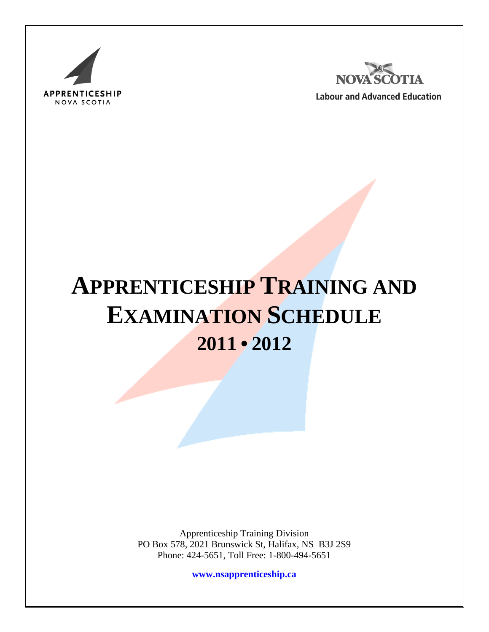



**Labour and Advanced Education** 

# **APPRENTICESHIP TRAINING AND EXAMINATION SCHEDULE 2011 • 2012**

Apprenticeship Training Division PO Box 578, 2021 Brunswick St, Halifax, NS B3J 2S9 Phone: 424-5651, Toll Free: 1-800-494-5651

**[www.nsapprenticeship.ca](http://www.nsapprenticeship.ca/)**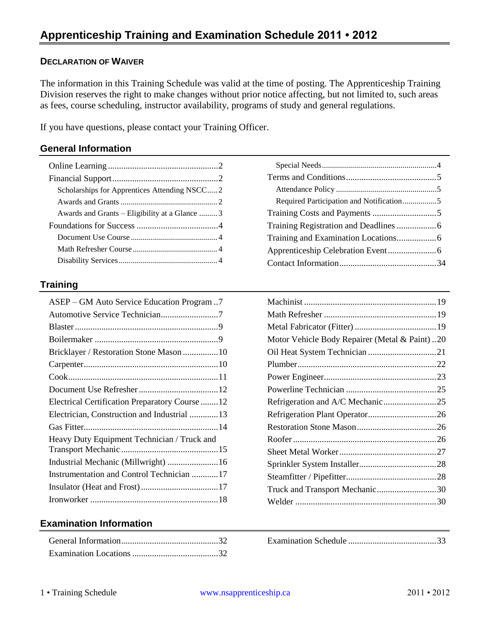## **DECLARATION OF WAIVER**

The information in this Training Schedule was valid at the time of posting. The Apprenticeship Training Division reserves the right to make changes without prior notice affecting, but not limited to, such areas as fees, course scheduling, instructor availability, programs of study and general regulations.

If you have questions, please contact your Training Officer.

## **General Information**

| Scholarships for Apprentices Attending NSCC2   |
|------------------------------------------------|
|                                                |
| Awards and Grants – Eligibility at a Glance  3 |
|                                                |
|                                                |
|                                                |
|                                                |
|                                                |

### **Training**

| ASEP – GM Auto Service Education Program7       |
|-------------------------------------------------|
| Automotive Service Technician7                  |
|                                                 |
|                                                 |
|                                                 |
|                                                 |
|                                                 |
|                                                 |
| Electrical Certification Preparatory Course  12 |
| Electrician, Construction and Industrial 13     |
|                                                 |
| Heavy Duty Equipment Technician / Truck and     |
|                                                 |
| Industrial Mechanic (Millwright)  16            |
| Instrumentation and Control Technician 17       |
|                                                 |
|                                                 |

| Required Participation and Notification5 |  |
|------------------------------------------|--|
|                                          |  |
|                                          |  |
|                                          |  |
|                                          |  |
|                                          |  |
|                                          |  |

| Motor Vehicle Body Repairer (Metal & Paint)20 |  |
|-----------------------------------------------|--|
|                                               |  |
|                                               |  |
|                                               |  |
|                                               |  |
| Refrigeration and A/C Mechanic25              |  |
|                                               |  |
|                                               |  |
|                                               |  |
|                                               |  |
|                                               |  |
|                                               |  |
| Truck and Transport Mechanic30                |  |
|                                               |  |

## **Examination Information**

Examination Schedule [........................................33](#page-33-0)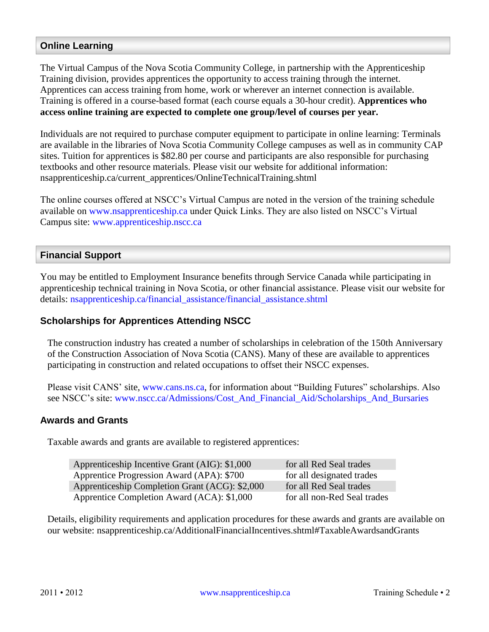## <span id="page-2-0"></span>**Online Learning**

The Virtual Campus of the Nova Scotia Community College, in partnership with the Apprenticeship Training division, provides apprentices the opportunity to access training through the internet. Apprentices can access training from home, work or wherever an internet connection is available. Training is offered in a course-based format (each course equals a 30-hour credit). **Apprentices who access online training are expected to complete one group/level of courses per year.**

Individuals are not required to purchase computer equipment to participate in online learning: Terminals are available in the libraries of Nova Scotia Community College campuses as well as in community CAP sites. Tuition for apprentices is \$82.80 per course and participants are also responsible for purchasing textbooks and other resource materials. Please visit our website for additional information: nsapprenticeship.ca/current\_apprentices/OnlineTechnicalTraining.shtml

The online courses offered at NSCC's Virtual Campus are noted in the version of the training schedule available on [www.nsapprenticeship.ca](http://www.nsapprenticeship.ca/) under Quick Links. They are also listed on NSCC's Virtual Campus site: [www.apprenticeship.nscc.ca](http://www.apprenticeship.nscc.ca/)

### <span id="page-2-1"></span>**Financial Support**

You may be entitled to Employment Insurance benefits through Service Canada while participating in apprenticeship technical training in Nova Scotia, or other financial assistance. Please visit our website for details: [nsapprenticeship.ca/financial\\_assistance/financial\\_assistance.shtml](http://nsapprenticeship.ca/financial_assistance/financial_assistance.shtml)

## <span id="page-2-2"></span>**Scholarships for Apprentices Attending NSCC**

The construction industry has created a number of scholarships in celebration of the 150th Anniversary of the Construction Association of Nova Scotia (CANS). Many of these are available to apprentices participating in construction and related occupations to offset their NSCC expenses.

Please visit CANS' site, [www.cans.ns.ca,](http://www.cans.ns.ca/) for information about "Building Futures" scholarships. Also see NSCC's site: [www.nscc.ca/Admissions/Cost\\_And\\_Financial\\_Aid/Scholarships\\_And\\_Bursaries](http://www.nscc.ca/Admissions/Cost_And_Financial_Aid/Scholarships_And_Bursaries)

#### <span id="page-2-3"></span>**Awards and Grants**

Taxable awards and grants are available to registered apprentices:

| Apprenticeship Incentive Grant (AIG): \$1,000  | for all Red Seal trades     |
|------------------------------------------------|-----------------------------|
| Apprentice Progression Award (APA): \$700      | for all designated trades   |
| Apprenticeship Completion Grant (ACG): \$2,000 | for all Red Seal trades     |
| Apprentice Completion Award (ACA): \$1,000     | for all non-Red Seal trades |

Details, eligibility requirements and application procedures for these awards and grants are available on our website: nsapprenticeship.ca/AdditionalFinancialIncentives.shtml#TaxableAwardsandGrants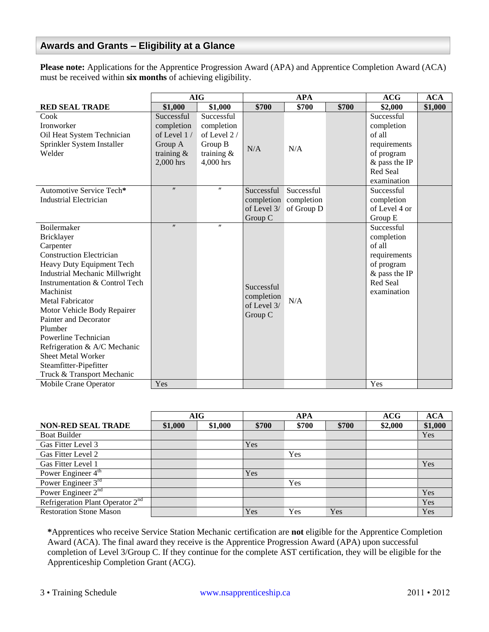## <span id="page-3-0"></span>**Awards and Grants – Eligibility at a Glance**

**Please note:** Applications for the Apprentice Progression Award (APA) and Apprentice Completion Award (ACA) must be received within **six months** of achieving eligibility.

|                                       | <b>AIG</b>        |                   | <b>APA</b>            |            | ACG   | <b>ACA</b>      |         |
|---------------------------------------|-------------------|-------------------|-----------------------|------------|-------|-----------------|---------|
| <b>RED SEAL TRADE</b>                 | \$1,000           | \$1,000           | \$700                 | \$700      | \$700 | \$2,000         | \$1,000 |
| Cook                                  | Successful        | Successful        |                       |            |       | Successful      |         |
| <b>Ironworker</b>                     | completion        | completion        |                       |            |       | completion      |         |
| Oil Heat System Technician            | of Level 1/       | of Level 2/       |                       |            |       | of all          |         |
| Sprinkler System Installer            | Group A           | Group B           | N/A                   | N/A        |       | requirements    |         |
| Welder                                | training $\&$     | training $\&$     |                       |            |       | of program      |         |
|                                       | 2,000 hrs         | 4,000 hrs         |                       |            |       | $&$ pass the IP |         |
|                                       |                   |                   |                       |            |       | Red Seal        |         |
|                                       |                   |                   |                       |            |       | examination     |         |
| Automotive Service Tech*              | $^{\prime\prime}$ | $\pmb{\prime}$    | Successful            | Successful |       | Successful      |         |
| <b>Industrial Electrician</b>         |                   |                   | completion completion |            |       | completion      |         |
|                                       |                   |                   | of Level 3/           | of Group D |       | of Level 4 or   |         |
|                                       |                   |                   | Group C               |            |       | Group E         |         |
| Boilermaker                           | $^{\prime\prime}$ | $^{\prime\prime}$ |                       |            |       | Successful      |         |
| Bricklayer                            |                   |                   |                       |            |       | completion      |         |
| Carpenter                             |                   |                   |                       |            |       | of all          |         |
| <b>Construction Electrician</b>       |                   |                   |                       |            |       | requirements    |         |
| Heavy Duty Equipment Tech             |                   |                   |                       |            |       | of program      |         |
| <b>Industrial Mechanic Millwright</b> |                   |                   |                       |            |       | & pass the IP   |         |
| Instrumentation & Control Tech        |                   |                   | Successful            |            |       | Red Seal        |         |
| Machinist                             |                   |                   | completion            |            |       | examination     |         |
| <b>Metal Fabricator</b>               |                   |                   | of Level 3/           | N/A        |       |                 |         |
| Motor Vehicle Body Repairer           |                   |                   | Group C               |            |       |                 |         |
| Painter and Decorator                 |                   |                   |                       |            |       |                 |         |
| Plumber                               |                   |                   |                       |            |       |                 |         |
| Powerline Technician                  |                   |                   |                       |            |       |                 |         |
| Refrigeration & A/C Mechanic          |                   |                   |                       |            |       |                 |         |
| <b>Sheet Metal Worker</b>             |                   |                   |                       |            |       |                 |         |
| Steamfitter-Pipefitter                |                   |                   |                       |            |       |                 |         |
| Truck & Transport Mechanic            |                   |                   |                       |            |       |                 |         |
| Mobile Crane Operator                 | Yes               |                   |                       |            |       | Yes             |         |

|                                    | AIG     |         | <b>APA</b> |       | ACG   | <b>ACA</b> |         |
|------------------------------------|---------|---------|------------|-------|-------|------------|---------|
| <b>NON-RED SEAL TRADE</b>          | \$1,000 | \$1,000 | \$700      | \$700 | \$700 | \$2,000    | \$1,000 |
| <b>Boat Builder</b>                |         |         |            |       |       |            | Yes     |
| Gas Fitter Level 3                 |         |         | Yes        |       |       |            |         |
| Gas Fitter Level 2                 |         |         |            | Yes   |       |            |         |
| Gas Fitter Level 1                 |         |         |            |       |       |            | Yes     |
| Power Engineer 4 <sup>th</sup>     |         |         | Yes        |       |       |            |         |
| Power Engineer $3^{rd}$            |         |         |            | Yes   |       |            |         |
| Power Engineer $2nd$               |         |         |            |       |       |            | Yes     |
| Refrigeration Plant Operator $2nd$ |         |         |            |       |       |            | Yes     |
| <b>Restoration Stone Mason</b>     |         |         | Yes        | Yes   | Yes   |            | Yes     |

**\***Apprentices who receive Service Station Mechanic certification are **not** eligible for the Apprentice Completion Award (ACA). The final award they receive is the Apprentice Progression Award (APA) upon successful completion of Level 3/Group C. If they continue for the complete AST certification, they will be eligible for the Apprenticeship Completion Grant (ACG).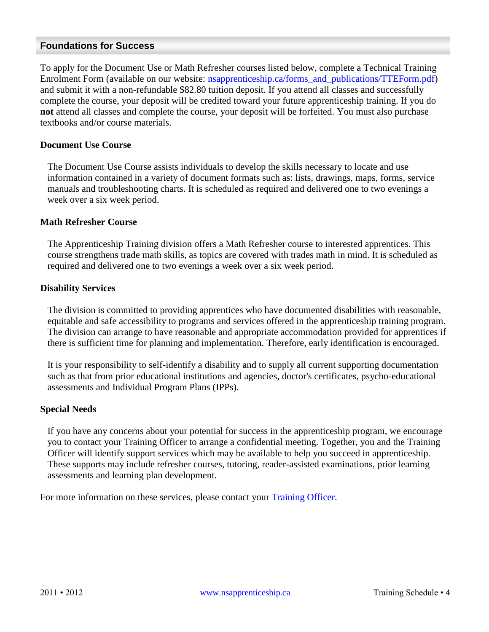#### <span id="page-4-0"></span>**Foundations for Success**

To apply for the Document Use or Math Refresher courses listed below, complete a Technical Training Enrolment Form (available on our website: [nsapprenticeship.ca/forms\\_and\\_publications/TTEForm.pdf\)](http://www.nsapprenticeship.ca/forms_and_publications/TTEForm.pdf) and submit it with a non-refundable \$82.80 tuition deposit. If you attend all classes and successfully complete the course, your deposit will be credited toward your future apprenticeship training. If you do **not** attend all classes and complete the course, your deposit will be forfeited. You must also purchase textbooks and/or course materials.

#### <span id="page-4-1"></span>**Document Use Course**

The Document Use Course assists individuals to develop the skills necessary to locate and use information contained in a variety of document formats such as: lists, drawings, maps, forms, service manuals and troubleshooting charts. It is scheduled as required and delivered one to two evenings a week over a six week period.

#### <span id="page-4-2"></span>**Math Refresher Course**

The Apprenticeship Training division offers a Math Refresher course to interested apprentices. This course strengthens trade math skills, as topics are covered with trades math in mind. It is scheduled as required and delivered one to two evenings a week over a six week period.

#### <span id="page-4-3"></span>**Disability Services**

The division is committed to providing apprentices who have documented disabilities with reasonable, equitable and safe accessibility to programs and services offered in the apprenticeship training program. The division can arrange to have reasonable and appropriate accommodation provided for apprentices if there is sufficient time for planning and implementation. Therefore, early identification is encouraged.

It is your responsibility to self-identify a disability and to supply all current supporting documentation such as that from prior educational institutions and agencies, doctor's certificates, psycho-educational assessments and Individual Program Plans (IPPs).

#### <span id="page-4-4"></span>**Special Needs**

If you have any concerns about your potential for success in the apprenticeship program, we encourage you to contact your Training Officer to arrange a confidential meeting. Together, you and the Training Officer will identify support services which may be available to help you succeed in apprenticeship. These supports may include refresher courses, tutoring, reader-assisted examinations, prior learning assessments and learning plan development.

For more information on these services, please contact your [Training Officer.](http://nsapprenticeship.ca/contact_information/training_officers.shtml)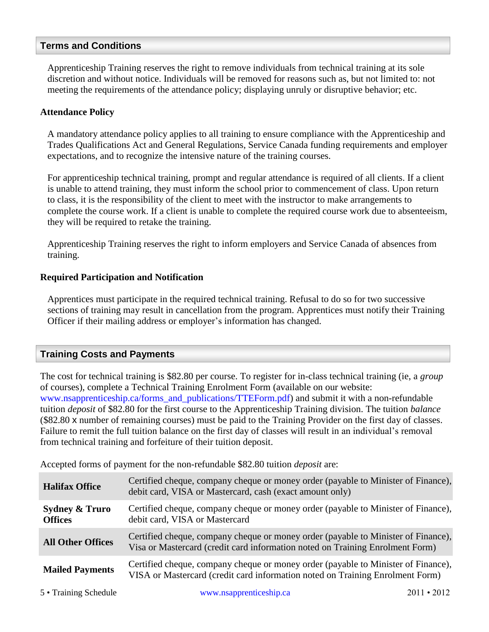#### <span id="page-5-0"></span>**Terms and Conditions**

Apprenticeship Training reserves the right to remove individuals from technical training at its sole discretion and without notice. Individuals will be removed for reasons such as, but not limited to: not meeting the requirements of the attendance policy; displaying unruly or disruptive behavior; etc.

#### <span id="page-5-1"></span>**Attendance Policy**

A mandatory attendance policy applies to all training to ensure compliance with the Apprenticeship and Trades Qualifications Act and General Regulations, Service Canada funding requirements and employer expectations, and to recognize the intensive nature of the training courses.

For apprenticeship technical training, prompt and regular attendance is required of all clients. If a client is unable to attend training, they must inform the school prior to commencement of class. Upon return to class, it is the responsibility of the client to meet with the instructor to make arrangements to complete the course work. If a client is unable to complete the required course work due to absenteeism, they will be required to retake the training.

Apprenticeship Training reserves the right to inform employers and Service Canada of absences from training.

#### <span id="page-5-2"></span>**Required Participation and Notification**

Apprentices must participate in the required technical training. Refusal to do so for two successive sections of training may result in cancellation from the program. Apprentices must notify their Training Officer if their mailing address or employer's information has changed.

## <span id="page-5-3"></span>**Training Costs and Payments**

The cost for technical training is \$82.80 per course. To register for in-class technical training (ie, a *group* of courses), complete a Technical Training Enrolment Form (available on our website: [www.nsapprenticeship.ca/forms\\_and\\_publications/TTEForm.pdf\)](http://www.nsapprenticeship.ca/forms_and_publications/TTEForm.pdf) and submit it with a non-refundable tuition *deposit* of \$82.80 for the first course to the Apprenticeship Training division. The tuition *balance* (\$82.80 x number of remaining courses) must be paid to the Training Provider on the first day of classes. Failure to remit the full tuition balance on the first day of classes will result in an individual's removal from technical training and forfeiture of their tuition deposit.

Accepted forms of payment for the non-refundable \$82.80 tuition *deposit* are:

| <b>Halifax Office</b>                       | Certified cheque, company cheque or money order (payable to Minister of Finance),<br>debit card, VISA or Mastercard, cash (exact amount only)                      |
|---------------------------------------------|--------------------------------------------------------------------------------------------------------------------------------------------------------------------|
| <b>Sydney &amp; Truro</b><br><b>Offices</b> | Certified cheque, company cheque or money order (payable to Minister of Finance),<br>debit card, VISA or Mastercard                                                |
| <b>All Other Offices</b>                    | Certified cheque, company cheque or money order (payable to Minister of Finance),<br>Visa or Mastercard (credit card information noted on Training Enrolment Form) |
| <b>Mailed Payments</b>                      | Certified cheque, company cheque or money order (payable to Minister of Finance),<br>VISA or Mastercard (credit card information noted on Training Enrolment Form) |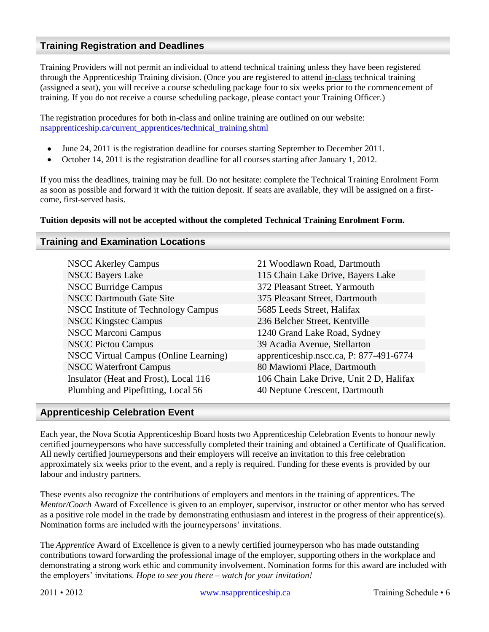### <span id="page-6-0"></span>**Training Registration and Deadlines**

Training Providers will not permit an individual to attend technical training unless they have been registered through the Apprenticeship Training division. (Once you are registered to attend in-class technical training (assigned a seat), you will receive a course scheduling package four to six weeks prior to the commencement of training. If you do not receive a course scheduling package, please contact your Training Officer.)

The registration procedures for both in-class and online training are outlined on our website: [nsapprenticeship.ca/current\\_apprentices/technical\\_training.shtml](http://www.nsapprenticeship.ca/current_apprentices/technical_training.shtml)

- $\bullet$ June 24, 2011 is the registration deadline for courses starting September to December 2011.
- October 14, 2011 is the registration deadline for all courses starting after January 1, 2012.  $\bullet$

If you miss the deadlines, training may be full. Do not hesitate: complete the Technical Training Enrolment Form as soon as possible and forward it with the tuition deposit. If seats are available, they will be assigned on a firstcome, first-served basis.

#### **Tuition deposits will not be accepted without the completed Technical Training Enrolment Form.**

#### <span id="page-6-1"></span>**Training and Examination Locations**

| <b>NSCC Akerley Campus</b>                                                  | 21 Woodlawn Road, Dartmouth                                               |
|-----------------------------------------------------------------------------|---------------------------------------------------------------------------|
| <b>NSCC Bayers Lake</b>                                                     | 115 Chain Lake Drive, Bayers Lake                                         |
| <b>NSCC Burridge Campus</b>                                                 | 372 Pleasant Street, Yarmouth                                             |
| <b>NSCC Dartmouth Gate Site</b>                                             | 375 Pleasant Street, Dartmouth                                            |
| <b>NSCC</b> Institute of Technology Campus                                  | 5685 Leeds Street, Halifax                                                |
| <b>NSCC Kingstec Campus</b>                                                 | 236 Belcher Street, Kentville                                             |
| <b>NSCC Marconi Campus</b>                                                  | 1240 Grand Lake Road, Sydney                                              |
| <b>NSCC Pictou Campus</b>                                                   | 39 Acadia Avenue, Stellarton                                              |
| NSCC Virtual Campus (Online Learning)                                       | apprenticeship.nscc.ca, P: 877-491-6774                                   |
| <b>NSCC Waterfront Campus</b>                                               | 80 Mawiomi Place, Dartmouth                                               |
| Insulator (Heat and Frost), Local 116<br>Plumbing and Pipefitting, Local 56 | 106 Chain Lake Drive, Unit 2 D, Halifax<br>40 Neptune Crescent, Dartmouth |

#### <span id="page-6-2"></span>**Apprenticeship Celebration Event**

Each year, the Nova Scotia Apprenticeship Board hosts two Apprenticeship Celebration Events to honour newly certified journeypersons who have successfully completed their training and obtained a Certificate of Qualification. All newly certified journeypersons and their employers will receive an invitation to this free celebration approximately six weeks prior to the event, and a reply is required. Funding for these events is provided by our labour and industry partners.

These events also recognize the contributions of employers and mentors in the training of apprentices. The *Mentor/Coach* Award of Excellence is given to an employer, supervisor, instructor or other mentor who has served as a positive role model in the trade by demonstrating enthusiasm and interest in the progress of their apprentice(s). Nomination forms are included with the journeypersons' invitations.

The *Apprentice* Award of Excellence is given to a newly certified journeyperson who has made outstanding contributions toward forwarding the professional image of the employer, supporting others in the workplace and demonstrating a strong work ethic and community involvement. Nomination forms for this award are included with the employers' invitations. *Hope to see you there – watch for your invitation!*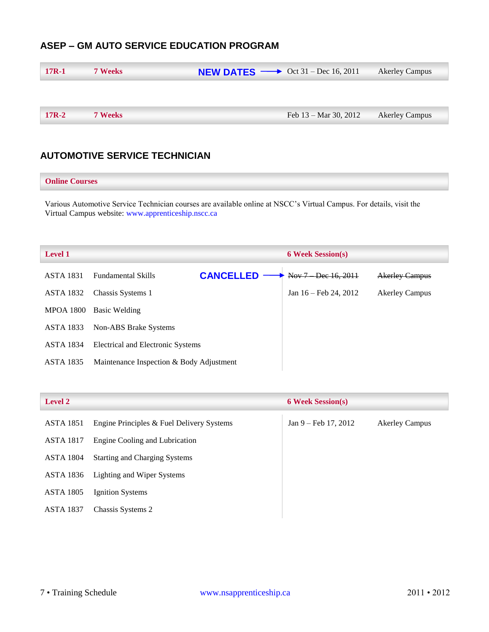## <span id="page-7-0"></span>**ASEP – GM AUTO SERVICE EDUCATION PROGRAM**

| $17R-1$ | <b>7 Weeks</b> | <b>NEW DATES</b> $\longrightarrow$ Oct 31 – Dec 16, 2011 |                       | <b>Akerley Campus</b> |
|---------|----------------|----------------------------------------------------------|-----------------------|-----------------------|
|         |                |                                                          |                       |                       |
| $17R-2$ | <b>7 Weeks</b> |                                                          | Feb 13 – Mar 30, 2012 | <b>Akerley Campus</b> |

## <span id="page-7-1"></span>**AUTOMOTIVE SERVICE TECHNICIAN**

#### **Online Courses**

Various Automotive Service Technician courses are available online at NSCC's Virtual Campus. For details, visit the Virtual Campus website: [www.apprenticeship.nscc.ca](http://www.apprenticeship.nscc.ca/)

| <b>Level 1</b>   |                                          |                  | <b>6 Week Session(s)</b> |                                  |                       |  |
|------------------|------------------------------------------|------------------|--------------------------|----------------------------------|-----------------------|--|
| <b>ASTA 1831</b> | <b>Fundamental Skills</b>                | <b>CANCELLED</b> |                          | Nov 7 Dec 16, 2011               | <b>Akerley Campus</b> |  |
| <b>ASTA 1832</b> | Chassis Systems 1                        |                  |                          | Jan $16 - \text{Feb } 24$ , 2012 | <b>Akerley Campus</b> |  |
| <b>MPOA 1800</b> | Basic Welding                            |                  |                          |                                  |                       |  |
| <b>ASTA 1833</b> | Non-ABS Brake Systems                    |                  |                          |                                  |                       |  |
| <b>ASTA 1834</b> | Electrical and Electronic Systems        |                  |                          |                                  |                       |  |
| <b>ASTA 1835</b> | Maintenance Inspection & Body Adjustment |                  |                          |                                  |                       |  |

| <b>Level 2</b>   |                                           | <b>6 Week Session(s)</b> |                       |
|------------------|-------------------------------------------|--------------------------|-----------------------|
| <b>ASTA 1851</b> | Engine Principles & Fuel Delivery Systems | $Jan 9 - Feb 17, 2012$   | <b>Akerley Campus</b> |
| ASTA 1817        | Engine Cooling and Lubrication            |                          |                       |
| ASTA 1804        | <b>Starting and Charging Systems</b>      |                          |                       |
| ASTA 1836        | Lighting and Wiper Systems                |                          |                       |
| <b>ASTA 1805</b> | Ignition Systems                          |                          |                       |
| <b>ASTA 1837</b> | Chassis Systems 2                         |                          |                       |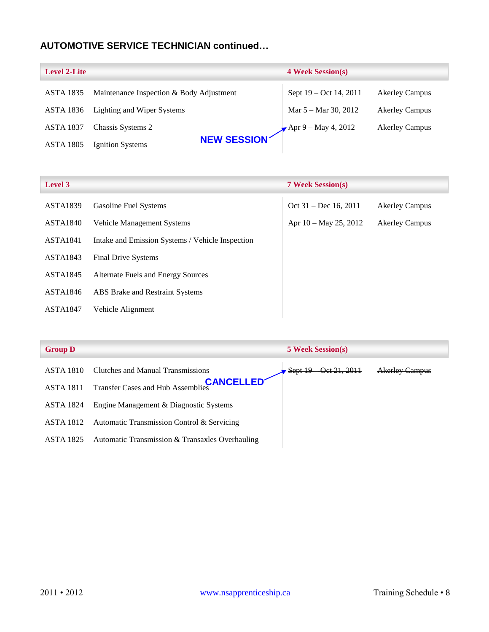## **AUTOMOTIVE SERVICE TECHNICIAN continued…**

| <b>Level 2-Lite</b> |                                          | <b>4 Week Session(s)</b>       |                       |
|---------------------|------------------------------------------|--------------------------------|-----------------------|
| <b>ASTA 1835</b>    | Maintenance Inspection & Body Adjustment | Sept 19 – Oct 14, 2011         | <b>Akerley Campus</b> |
| <b>ASTA 1836</b>    | Lighting and Wiper Systems               | Mar 5 – Mar 30, 2012           | <b>Akerley Campus</b> |
| <b>ASTA 1837</b>    | Chassis Systems 2                        | $\sqrt{4}$ Apr 9 – May 4, 2012 | <b>Akerley Campus</b> |
| <b>ASTA 1805</b>    | NEW SESSION<br>Ignition Systems          |                                |                       |

| <b>Level 3</b>  |                                                  | <b>7 Week Session(s)</b> |                       |
|-----------------|--------------------------------------------------|--------------------------|-----------------------|
| <b>ASTA1839</b> | <b>Gasoline Fuel Systems</b>                     | Oct $31 - Dec 16, 2011$  | <b>Akerley Campus</b> |
| <b>ASTA1840</b> | Vehicle Management Systems                       | Apr $10 - May 25$ , 2012 | <b>Akerley Campus</b> |
| <b>ASTA1841</b> | Intake and Emission Systems / Vehicle Inspection |                          |                       |
| ASTA1843        | <b>Final Drive Systems</b>                       |                          |                       |
| <b>ASTA1845</b> | Alternate Fuels and Energy Sources               |                          |                       |
| <b>ASTA1846</b> | ABS Brake and Restraint Systems                  |                          |                       |
| <b>ASTA1847</b> | Vehicle Alignment                                |                          |                       |

| <b>Group D</b> |  |
|----------------|--|
|                |  |

| <b>Group D</b>   |                                                    | <b>5 Week Session(s)</b>    |                       |
|------------------|----------------------------------------------------|-----------------------------|-----------------------|
| ASTA 1810        | Clutches and Manual Transmissions                  | $-$ Oet 21, 2011<br>Sept 19 | <b>Akerley Campus</b> |
| <b>ASTA 1811</b> | Transfer Cases and Hub Assemblies <b>CANCELLED</b> |                             |                       |
| ASTA 1824        | Engine Management & Diagnostic Systems             |                             |                       |
| ASTA 1812        | Automatic Transmission Control & Servicing         |                             |                       |
| ASTA 1825        | Automatic Transmission & Transaxles Overhauling    |                             |                       |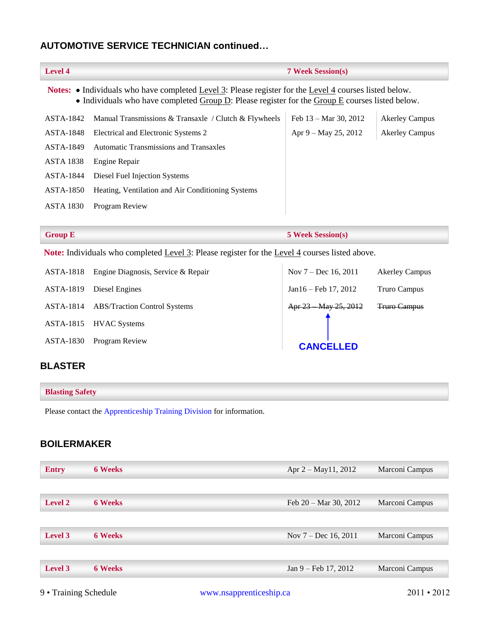## **AUTOMOTIVE SERVICE TECHNICIAN continued…**

| <b>Level 4</b>                                                                                                                                                                                                   |                                                       | <b>7 Week Session(s)</b>        |                       |
|------------------------------------------------------------------------------------------------------------------------------------------------------------------------------------------------------------------|-------------------------------------------------------|---------------------------------|-----------------------|
| <b>Notes:</b> • Individuals who have completed Level 3: Please register for the Level 4 courses listed below.<br>• Individuals who have completed Group D: Please register for the Group E courses listed below. |                                                       |                                 |                       |
| ASTA-1842                                                                                                                                                                                                        | Manual Transmissions & Transaxle / Clutch & Flywheels | Feb $13 - \text{Mar } 30, 2012$ | <b>Akerley Campus</b> |
| ASTA-1848                                                                                                                                                                                                        | Electrical and Electronic Systems 2                   | Apr $9 -$ May 25, 2012          | <b>Akerley Campus</b> |
| ASTA-1849                                                                                                                                                                                                        | <b>Automatic Transmissions and Transaxles</b>         |                                 |                       |
| <b>ASTA 1838</b>                                                                                                                                                                                                 | Engine Repair                                         |                                 |                       |
| ASTA-1844                                                                                                                                                                                                        | Diesel Fuel Injection Systems                         |                                 |                       |
| <b>ASTA-1850</b>                                                                                                                                                                                                 | Heating, Ventilation and Air Conditioning Systems     |                                 |                       |
| <b>ASTA 1830</b>                                                                                                                                                                                                 | Program Review                                        |                                 |                       |
|                                                                                                                                                                                                                  |                                                       |                                 |                       |
| <b>Group E</b>                                                                                                                                                                                                   |                                                       | <b>5 Week Session(s)</b>        |                       |

Note: Individuals who completed <u>Level 3</u>: Please register for the Level 4 courses listed above.

| ASTA-1818 | Engine Diagnosis, Service & Repair  | Nov $7 - Dec 16, 2011$ | <b>Akerley Campus</b> |
|-----------|-------------------------------------|------------------------|-----------------------|
| ASTA-1819 | Diesel Engines                      | $Jan16 - Feb 17, 2012$ | Truro Campus          |
| ASTA-1814 | <b>ABS/Traction Control Systems</b> | Apr 23 May 25, 2012    | <b>Truro Campus</b>   |
| ASTA-1815 | <b>HVAC Systems</b>                 |                        |                       |
| ASTA-1830 | Program Review                      | <b>CANCELLED</b>       |                       |

## <span id="page-9-0"></span>**BLASTER**

Please contact the [Apprenticeship Training Division](#page-34-1) for information.

## <span id="page-9-1"></span>**BOILERMAKER**

| <b>Entry</b>   | <b>6 Weeks</b> | Apr $2 - May11$ , 2012          | Marconi Campus |
|----------------|----------------|---------------------------------|----------------|
|                |                |                                 |                |
| <b>Level 2</b> | <b>6 Weeks</b> | Feb $20 - \text{Mar } 30, 2012$ | Marconi Campus |
|                |                |                                 |                |
| Level 3        | <b>6 Weeks</b> | Nov $7 - Dec 16, 2011$          | Marconi Campus |
|                |                |                                 |                |
| Level 3        | <b>6 Weeks</b> | Jan $9 - \text{Feb } 17, 2012$  | Marconi Campus |
|                |                |                                 |                |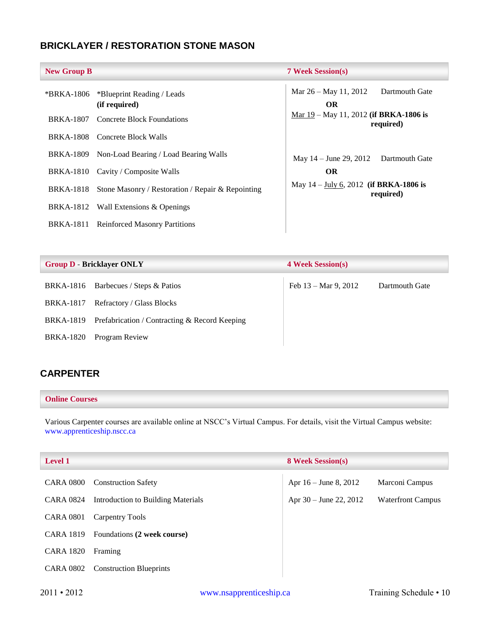## <span id="page-10-0"></span>**BRICKLAYER / RESTORATION STONE MASON**

| <b>New Group B</b> |                                                   | <b>7 Week Session(s)</b>                                           |
|--------------------|---------------------------------------------------|--------------------------------------------------------------------|
| *BRKA-1806         | *Blueprint Reading / Leads<br>(if required)       | Mar $26 -$ May 11, 2012<br>Dartmouth Gate<br><b>OR</b>             |
| <b>BRKA-1807</b>   | Concrete Block Foundations                        | Mar $19$ – May 11, 2012 (if BRKA-1806 is<br>required)              |
|                    | BRKA-1808 Concrete Block Walls                    |                                                                    |
| BRKA-1809          | Non-Load Bearing / Load Bearing Walls             | May 14 – June 29, 2012 Dartmouth Gate                              |
| <b>BRKA-1810</b>   | Cavity / Composite Walls                          | <b>OR</b>                                                          |
| <b>BRKA-1818</b>   | Stone Masonry / Restoration / Repair & Repointing | May $14 - \underline{July 6}$ , 2012 (if BRKA-1806 is<br>required) |
| BRKA-1812          | Wall Extensions & Openings                        |                                                                    |
| BRKA-1811          | <b>Reinforced Masonry Partitions</b>              |                                                                    |

| <b>Group D - Bricklayer ONLY</b> |                                                            | <b>4 Week Session(s)</b> |                |
|----------------------------------|------------------------------------------------------------|--------------------------|----------------|
| BRKA-1816                        | Barbecues / Steps & Patios                                 | Feb 13 – Mar 9, 2012     | Dartmouth Gate |
| <b>BRKA-1817</b>                 | Refractory / Glass Blocks                                  |                          |                |
|                                  | BRKA-1819 Prefabrication / Contracting $\&$ Record Keeping |                          |                |
| <b>BRKA-1820</b>                 | Program Review                                             |                          |                |

## <span id="page-10-1"></span>**CARPENTER**

#### **Online Courses**

Various Carpenter courses are available online at NSCC's Virtual Campus. For details, visit the Virtual Campus website: [www.apprenticeship.nscc.ca](http://www.apprenticeship.nscc.ca/)

| <b>Level 1</b>   |                                    | <b>8 Week Session(s)</b> |                          |
|------------------|------------------------------------|--------------------------|--------------------------|
| <b>CARA 0800</b> | <b>Construction Safety</b>         | Apr 16 – June 8, 2012    | Marconi Campus           |
| <b>CARA 0824</b> | Introduction to Building Materials | Apr $30 -$ June 22, 2012 | <b>Waterfront Campus</b> |
| <b>CARA 0801</b> | Carpentry Tools                    |                          |                          |
| <b>CARA 1819</b> | Foundations (2 week course)        |                          |                          |
| <b>CARA 1820</b> | Framing                            |                          |                          |
| <b>CARA 0802</b> | <b>Construction Blueprints</b>     |                          |                          |
|                  |                                    |                          |                          |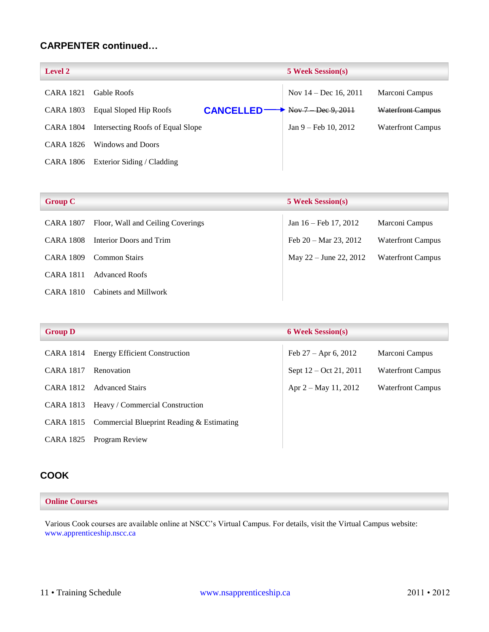## **CARPENTER continued…**

| <b>Level 2</b>   |                                            | <b>5 Week Session(s)</b> |                          |
|------------------|--------------------------------------------|--------------------------|--------------------------|
| <b>CARA 1821</b> | <b>Gable Roofs</b>                         | Nov $14 - Dec 16, 2011$  | Marconi Campus           |
| CARA 1803        | Equal Sloped Hip Roofs<br><b>CANCELLED</b> | Nov 7 Dec 9, 2011        | <b>Waterfront Campus</b> |
| CARA 1804        | Intersecting Roofs of Equal Slope          | $Jan 9 - Feb 10, 2012$   | <b>Waterfront Campus</b> |
| CARA 1826        | Windows and Doors                          |                          |                          |
| CARA 1806        | Exterior Siding / Cladding                 |                          |                          |

| <b>Group C</b>   |                                   | <b>5 Week Session(s)</b>           |                          |
|------------------|-----------------------------------|------------------------------------|--------------------------|
| <b>CARA 1807</b> | Floor, Wall and Ceiling Coverings | Jan 16 – Feb 17, 2012              | Marconi Campus           |
| <b>CARA 1808</b> | Interior Doors and Trim           | Feb $20 - \text{Mar } 23$ , $2012$ | <b>Waterfront Campus</b> |
| CARA 1809        | <b>Common Stairs</b>              | May $22 -$ June $22, 2012$         | <b>Waterfront Campus</b> |
| <b>CARA 1811</b> | <b>Advanced Roofs</b>             |                                    |                          |
| CARA 1810        | Cabinets and Millwork             |                                    |                          |

| <b>Group D</b>   |                                           | <b>6 Week Session(s)</b> |                          |
|------------------|-------------------------------------------|--------------------------|--------------------------|
| CARA 1814        | <b>Energy Efficient Construction</b>      | Feb $27 -$ Apr 6, 2012   | Marconi Campus           |
| <b>CARA 1817</b> | Renovation                                | Sept $12 - Oct 21, 2011$ | <b>Waterfront Campus</b> |
| <b>CARA 1812</b> | <b>Advanced Stairs</b>                    | Apr 2 – May 11, 2012     | <b>Waterfront Campus</b> |
| CARA 1813        | Heavy / Commercial Construction           |                          |                          |
| CARA 1815        | Commercial Blueprint Reading & Estimating |                          |                          |
| <b>CARA 1825</b> | Program Review                            |                          |                          |

## <span id="page-11-0"></span>**COOK**

#### **Online Courses**

Various Cook courses are available online at NSCC's Virtual Campus. For details, visit the Virtual Campus website: [www.apprenticeship.nscc.ca](http://www.apprenticeship.nscc.ca/)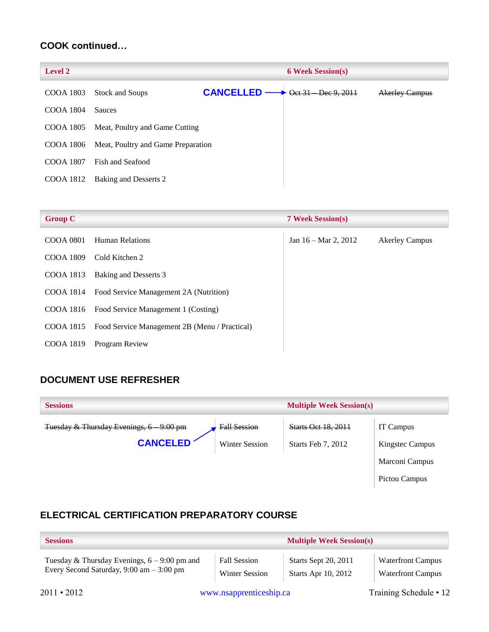## **COOK continued…**

| <b>Level 2</b>   | <b>6 Week Session(s)</b>           |                  |  |                    |                       |
|------------------|------------------------------------|------------------|--|--------------------|-----------------------|
| COOA 1803        | Stock and Soups                    | <b>CANCELLED</b> |  | Oct 31 Dec 9, 2011 | <b>Akerley Campus</b> |
| <b>COOA 1804</b> | <b>Sauces</b>                      |                  |  |                    |                       |
| COOA 1805        | Meat, Poultry and Game Cutting     |                  |  |                    |                       |
| COOA 1806        | Meat, Poultry and Game Preparation |                  |  |                    |                       |
| <b>COOA 1807</b> | Fish and Seafood                   |                  |  |                    |                       |
| COOA 1812        | Baking and Desserts 2              |                  |  |                    |                       |
|                  |                                    |                  |  |                    |                       |

| <b>Group C</b> |                                                  | <b>7 Week Session(s)</b>        |                       |
|----------------|--------------------------------------------------|---------------------------------|-----------------------|
| COOA 0801      | <b>Human Relations</b>                           | Jan $16 - \text{Mar } 2$ , 2012 | <b>Akerley Campus</b> |
| COOA 1809      | Cold Kitchen 2                                   |                                 |                       |
| COOA 1813      | Baking and Desserts 3                            |                                 |                       |
|                | COOA 1814 Food Service Management 2A (Nutrition) |                                 |                       |
| COOA 1816      | Food Service Management 1 (Costing)              |                                 |                       |
| COOA 1815      | Food Service Management 2B (Menu / Practical)    |                                 |                       |
| COOA 1819      | Program Review                                   |                                 |                       |

## <span id="page-12-0"></span>**DOCUMENT USE REFRESHER**

| <b>Sessions</b>                                       | <b>Multiple Week Session(s)</b> |                            |                 |
|-------------------------------------------------------|---------------------------------|----------------------------|-----------------|
| Tuesday & Thursday Evenings, 6-<br><del>9:00 pm</del> | <b>Fall Session</b>             | <b>Starts Oct 18, 2011</b> | IT Campus       |
| <b>CANCELED</b>                                       | <b>Winter Session</b>           | Starts Feb 7, 2012         | Kingstec Campus |
|                                                       |                                 |                            | Marconi Campus  |

Pictou Campus

## <span id="page-12-1"></span>**ELECTRICAL CERTIFICATION PREPARATORY COURSE**

| <b>Sessions</b>                                            | <b>Multiple Week Session(s)</b> |                             |                          |
|------------------------------------------------------------|---------------------------------|-----------------------------|--------------------------|
| Tuesday & Thursday Evenings, $6 - 9:00$ pm and             | <b>Fall Session</b>             | <b>Starts Sept 20, 2011</b> | <b>Waterfront Campus</b> |
| Every Second Saturday, $9:00 \text{ am} - 3:00 \text{ pm}$ | <b>Winter Session</b>           | <b>Starts Apr 10, 2012</b>  | <b>Waterfront Campus</b> |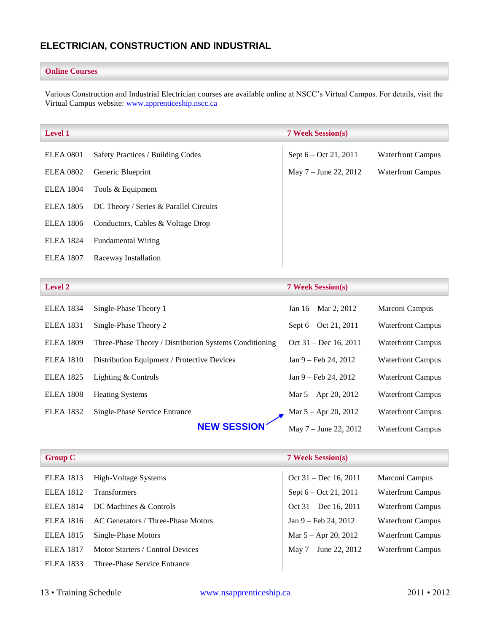## <span id="page-13-0"></span>**ELECTRICIAN, CONSTRUCTION AND INDUSTRIAL**

#### **Online Courses**

Various Construction and Industrial Electrician courses are available online at NSCC's Virtual Campus. For details, visit the Virtual Campus website: [www.apprenticeship.nscc.ca](http://www.apprenticeship.nscc.ca/)

| <b>Level 1</b>   |                                        | <b>7 Week Session(s)</b> |                          |
|------------------|----------------------------------------|--------------------------|--------------------------|
| <b>ELEA 0801</b> | Safety Practices / Building Codes      | Sept $6 - Oct 21, 2011$  | <b>Waterfront Campus</b> |
| <b>ELEA 0802</b> | Generic Blueprint                      | May $7 -$ June 22, 2012  | <b>Waterfront Campus</b> |
| <b>ELEA</b> 1804 | Tools & Equipment                      |                          |                          |
| <b>ELEA</b> 1805 | DC Theory / Series & Parallel Circuits |                          |                          |
| <b>ELEA</b> 1806 | Conductors, Cables & Voltage Drop      |                          |                          |
| <b>ELEA</b> 1824 | <b>Fundamental Wiring</b>              |                          |                          |
| <b>ELEA</b> 1807 | Raceway Installation                   |                          |                          |

| <b>Level 2</b>   |                                                        | <b>7 Week Session(s)</b>        |                          |
|------------------|--------------------------------------------------------|---------------------------------|--------------------------|
| <b>ELEA 1834</b> | Single-Phase Theory 1                                  | Jan $16 - \text{Mar } 2$ , 2012 | Marconi Campus           |
| <b>ELEA</b> 1831 | Single-Phase Theory 2                                  | Sept 6 – Oct 21, 2011           | <b>Waterfront Campus</b> |
| <b>ELEA 1809</b> | Three-Phase Theory / Distribution Systems Conditioning | Oct $31 - Dec 16, 2011$         | <b>Waterfront Campus</b> |
| <b>ELEA</b> 1810 | Distribution Equipment / Protective Devices            | Jan $9 - \text{Feb } 24$ , 2012 | <b>Waterfront Campus</b> |
| <b>ELEA</b> 1825 | Lighting & Controls                                    | $Jan 9 - Feb 24, 2012$          | <b>Waterfront Campus</b> |
| <b>ELEA 1808</b> | <b>Heating Systems</b>                                 | Mar $5 -$ Apr 20, 2012          | <b>Waterfront Campus</b> |
| <b>ELEA</b> 1832 | Single-Phase Service Entrance                          | Mar $5 -$ Apr 20, 2012          | <b>Waterfront Campus</b> |
|                  | <b>NEW SESSION</b>                                     | May $7 -$ June 22, 2012         | <b>Waterfront Campus</b> |

| <b>Group C</b>   |                                    | <b>7 Week Session(s)</b> |                          |
|------------------|------------------------------------|--------------------------|--------------------------|
| <b>ELEA</b> 1813 | High-Voltage Systems               | Oct $31 - Dec 16, 2011$  | Marconi Campus           |
| <b>ELEA</b> 1812 | <b>Transformers</b>                | Sept $6 - Oct 21, 2011$  | <b>Waterfront Campus</b> |
| <b>ELEA</b> 1814 | DC Machines & Controls             | Oct $31 - Dec 16, 2011$  | <b>Waterfront Campus</b> |
| <b>ELEA</b> 1816 | AC Generators / Three-Phase Motors | $Jan 9 - Feb 24, 2012$   | <b>Waterfront Campus</b> |
| <b>ELEA</b> 1815 | Single-Phase Motors                | Mar $5 -$ Apr 20, 2012   | <b>Waterfront Campus</b> |
| <b>ELEA</b> 1817 | Motor Starters / Control Devices   | May $7 -$ June 22, 2012  | <b>Waterfront Campus</b> |
| <b>ELEA</b> 1833 | Three-Phase Service Entrance       |                          |                          |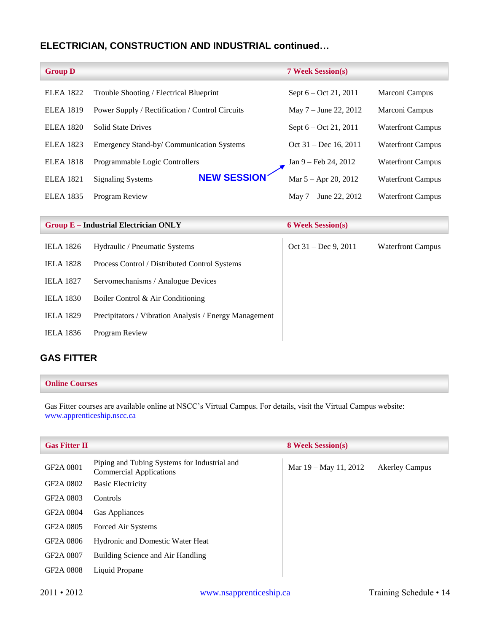## **ELECTRICIAN, CONSTRUCTION AND INDUSTRIAL continued…**

| <b>Group D</b>   |                                                        | <b>7 Week Session(s)</b> |                          |
|------------------|--------------------------------------------------------|--------------------------|--------------------------|
| <b>ELEA 1822</b> | Trouble Shooting / Electrical Blueprint                | Sept 6 – Oct 21, 2011    | Marconi Campus           |
| <b>ELEA 1819</b> | Power Supply / Rectification / Control Circuits        | May 7 – June 22, 2012    | Marconi Campus           |
| <b>ELEA 1820</b> | <b>Solid State Drives</b>                              | Sept 6 – Oct 21, 2011    | <b>Waterfront Campus</b> |
| <b>ELEA 1823</b> | Emergency Stand-by/ Communication Systems              | $Oct 31 - Dec 16, 2011$  | <b>Waterfront Campus</b> |
| <b>ELEA 1818</b> | Programmable Logic Controllers                         | Jan 9 – Feb 24, 2012     | <b>Waterfront Campus</b> |
| <b>ELEA 1821</b> | <b>NEW SESSION</b><br><b>Signaling Systems</b>         | Mar $5 -$ Apr 20, 2012   | <b>Waterfront Campus</b> |
| <b>ELEA 1835</b> | Program Review                                         | May 7 – June 22, 2012    | <b>Waterfront Campus</b> |
|                  |                                                        |                          |                          |
|                  | <b>Group E-Industrial Electrician ONLY</b>             | <b>6 Week Session(s)</b> |                          |
| <b>IELA 1826</b> | Hydraulic / Pneumatic Systems                          | Oct 31 - Dec 9, 2011     | <b>Waterfront Campus</b> |
| <b>IELA 1828</b> | Process Control / Distributed Control Systems          |                          |                          |
| <b>IELA 1827</b> | Servomechanisms / Analogue Devices                     |                          |                          |
| <b>IELA 1830</b> | Boiler Control & Air Conditioning                      |                          |                          |
| <b>IELA 1829</b> | Precipitators / Vibration Analysis / Energy Management |                          |                          |
| <b>IELA 1836</b> | Program Review                                         |                          |                          |

## <span id="page-14-0"></span>**GAS FITTER**

#### **Online Courses**

Gas Fitter courses are available online at NSCC's Virtual Campus. For details, visit the Virtual Campus website: [www.apprenticeship.nscc.ca](http://www.apprenticeship.nscc.ca/)

| <b>Gas Fitter II</b>   |                                                                                | <b>8 Week Session(s)</b> |                       |
|------------------------|--------------------------------------------------------------------------------|--------------------------|-----------------------|
| GF2A 0801              | Piping and Tubing Systems for Industrial and<br><b>Commercial Applications</b> | Mar 19 – May 11, 2012    | <b>Akerley Campus</b> |
| GF2A 0802              | <b>Basic Electricity</b>                                                       |                          |                       |
| GF <sub>2</sub> A 0803 | <b>Controls</b>                                                                |                          |                       |
| GF2A 0804              | Gas Appliances                                                                 |                          |                       |
| GF2A 0805              | Forced Air Systems                                                             |                          |                       |
| GF2A 0806              | <b>Hydronic and Domestic Water Heat</b>                                        |                          |                       |
| GF2A 0807              | Building Science and Air Handling                                              |                          |                       |
| GF2A 0808              | Liquid Propane                                                                 |                          |                       |
|                        |                                                                                |                          |                       |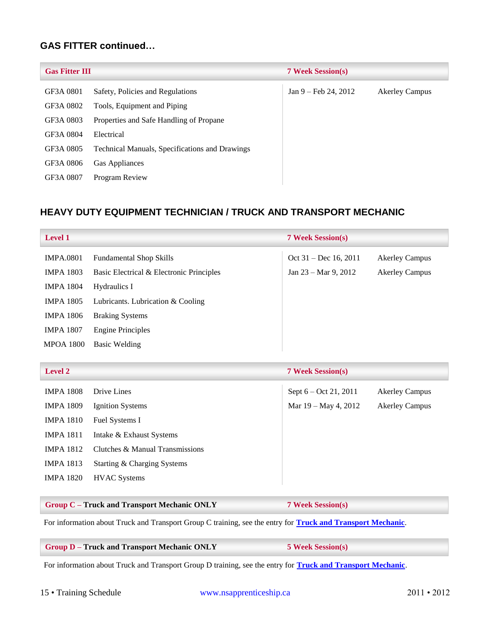## **GAS FITTER continued…**

| <b>Gas Fitter III</b> |                                                       | <b>7 Week Session(s)</b>        |                       |
|-----------------------|-------------------------------------------------------|---------------------------------|-----------------------|
| GF3A 0801             | Safety, Policies and Regulations                      | Jan $9 - \text{Feb } 24$ , 2012 | <b>Akerley Campus</b> |
| GF3A 0802             | Tools, Equipment and Piping                           |                                 |                       |
| GF3A 0803             | Properties and Safe Handling of Propane               |                                 |                       |
| GF3A 0804             | Electrical                                            |                                 |                       |
| GF3A 0805             | <b>Technical Manuals, Specifications and Drawings</b> |                                 |                       |
| GF3A 0806             | Gas Appliances                                        |                                 |                       |
| GF3A 0807             | Program Review                                        |                                 |                       |

## <span id="page-15-0"></span>**HEAVY DUTY EQUIPMENT TECHNICIAN / TRUCK AND TRANSPORT MECHANIC**

<span id="page-15-1"></span>

| <b>Level 1</b>   |                                          | <b>7 Week Session(s)</b>       |                       |
|------------------|------------------------------------------|--------------------------------|-----------------------|
| <b>IMPA.0801</b> | <b>Fundamental Shop Skills</b>           | Oct $31 - Dec 16, 2011$        | <b>Akerley Campus</b> |
| <b>IMPA 1803</b> | Basic Electrical & Electronic Principles | Jan $23 - \text{Mar } 9, 2012$ | <b>Akerley Campus</b> |
| <b>IMPA 1804</b> | Hydraulics I                             |                                |                       |
| <b>IMPA 1805</b> | Lubricants. Lubrication & Cooling        |                                |                       |
| <b>IMPA 1806</b> | <b>Braking Systems</b>                   |                                |                       |
| <b>IMPA 1807</b> | <b>Engine Principles</b>                 |                                |                       |
| <b>MPOA 1800</b> | Basic Welding                            |                                |                       |

<span id="page-15-2"></span>

| <b>Level 2</b>   |                                 | <b>7 Week Session(s)</b> |                       |
|------------------|---------------------------------|--------------------------|-----------------------|
| <b>IMPA 1808</b> | Drive Lines                     | Sept 6 – Oct 21, 2011    | <b>Akerley Campus</b> |
| <b>IMPA 1809</b> | Ignition Systems                | Mar $19 -$ May 4, 2012   | <b>Akerley Campus</b> |
| <b>IMPA 1810</b> | Fuel Systems I                  |                          |                       |
| <b>IMPA 1811</b> | Intake & Exhaust Systems        |                          |                       |
| <b>IMPA 1812</b> | Clutches & Manual Transmissions |                          |                       |
| <b>IMPA 1813</b> | Starting & Charging Systems     |                          |                       |
| <b>IMPA 1820</b> | <b>HVAC</b> Systems             |                          |                       |
|                  |                                 |                          |                       |

#### **Group C – Truck and Transport Mechanic ONLY 7 Week Session(s)**

For information about Truck and Transport Group C training, see the entry for **[Truck and Transport Mechanic](#page-30-2)**.

#### **Group D – Truck and Transport Mechanic ONLY 5 Week Session(s)**

For information about Truck and Transport Group D training, see the entry for **[Truck and Transport Mechanic](#page-30-3)**.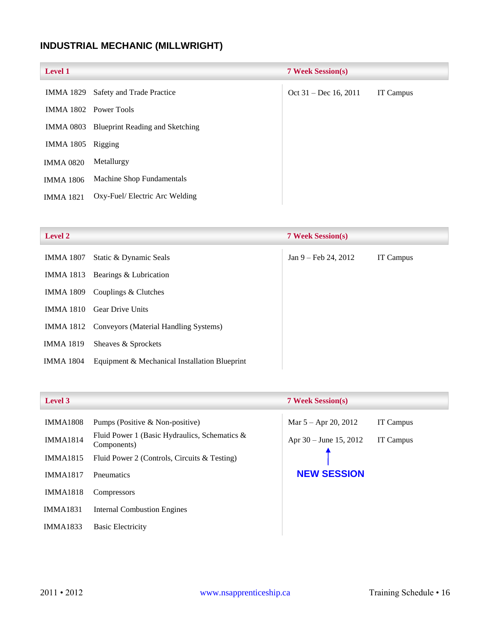## <span id="page-16-0"></span>**INDUSTRIAL MECHANIC (MILLWRIGHT)**

|                                        | <b>7 Week Session(s)</b> |                  |
|----------------------------------------|--------------------------|------------------|
| Safety and Trade Practice              | Oct 31 – Dec 16, 2011    | <b>IT Campus</b> |
|                                        |                          |                  |
| <b>Blueprint Reading and Sketching</b> |                          |                  |
| Rigging                                |                          |                  |
| Metallurgy                             |                          |                  |
| Machine Shop Fundamentals              |                          |                  |
| Oxy-Fuel/ Electric Arc Welding         |                          |                  |
|                                        | IMMA 1802 Power Tools    |                  |

| <b>Level 2</b>   |                                                 | <b>7 Week Session(s)</b> |           |
|------------------|-------------------------------------------------|--------------------------|-----------|
| IMMA 1807        | Static & Dynamic Seals                          | $Jan 9 - Feb 24, 2012$   | IT Campus |
| IMMA 1813        | Bearings & Lubrication                          |                          |           |
| IMMA 1809        | Couplings & Clutches                            |                          |           |
| <b>IMMA 1810</b> | <b>Gear Drive Units</b>                         |                          |           |
|                  | IMMA 1812 Conveyors (Material Handling Systems) |                          |           |
| <b>IMMA 1819</b> | Sheaves & Sprockets                             |                          |           |
| IMMA 1804        | Equipment & Mechanical Installation Blueprint   |                          |           |

| <b>IMMA1808</b> | Pumps (Positive & Non-positive)                                 | Mar $5 -$ Apr 20, 2012   | <b>IT Campus</b> |
|-----------------|-----------------------------------------------------------------|--------------------------|------------------|
| <b>IMMA1814</b> | Fluid Power 1 (Basic Hydraulics, Schematics $\&$<br>Components) | Apr $30 -$ June 15, 2012 | <b>IT Campus</b> |
| <b>IMMA1815</b> | Fluid Power 2 (Controls, Circuits & Testing)                    |                          |                  |
| <b>IMMA1817</b> | <b>P</b> neumatics                                              | <b>NEW SESSION</b>       |                  |
| <b>IMMA1818</b> | <b>Compressors</b>                                              |                          |                  |
| IMMA1831        | <b>Internal Combustion Engines</b>                              |                          |                  |
| <b>IMMA1833</b> | <b>Basic Electricity</b>                                        |                          |                  |

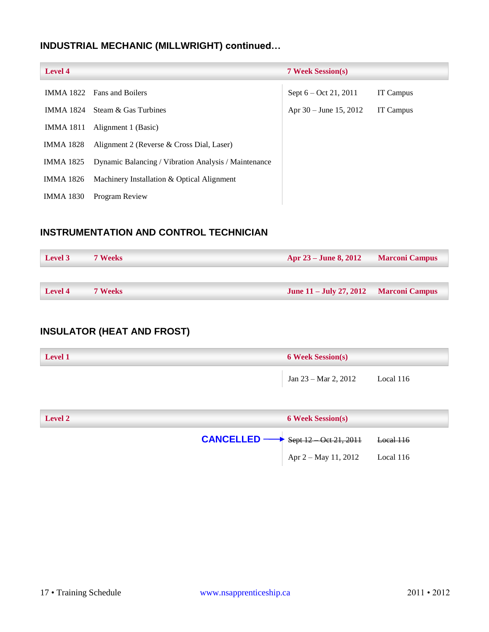## **INDUSTRIAL MECHANIC (MILLWRIGHT) continued…**

| <b>Level 4</b>   |                                                      | <b>7 Week Session(s)</b> |           |
|------------------|------------------------------------------------------|--------------------------|-----------|
|                  | <b>IMMA 1822</b> Fans and Boilers                    | Sept 6 – Oct 21, 2011    | IT Campus |
| IMMA 1824        | Steam & Gas Turbines                                 | Apr $30 -$ June 15, 2012 | IT Campus |
| <b>IMMA 1811</b> | Alignment 1 (Basic)                                  |                          |           |
| <b>IMMA 1828</b> | Alignment 2 (Reverse & Cross Dial, Laser)            |                          |           |
| <b>IMMA 1825</b> | Dynamic Balancing / Vibration Analysis / Maintenance |                          |           |
| <b>IMMA 1826</b> | Machinery Installation & Optical Alignment           |                          |           |
| <b>IMMA 1830</b> | Program Review                                       |                          |           |

## <span id="page-17-0"></span>**INSTRUMENTATION AND CONTROL TECHNICIAN**

| Level 3 | <b>7 Weeks</b> | Apr 23 – June 8, 2012                    | <b>Marconi Campus</b> |
|---------|----------------|------------------------------------------|-----------------------|
|         |                |                                          |                       |
| Level 4 | <b>7 Weeks</b> | June $11 -$ July 27, 2012 Marconi Campus |                       |

## <span id="page-17-1"></span>**INSULATOR (HEAT AND FROST)**

| Level 1 | <b>6 Week Session(s)</b> |           |
|---------|--------------------------|-----------|
|         | Jan 23 – Mar 2, 2012     | Local 116 |

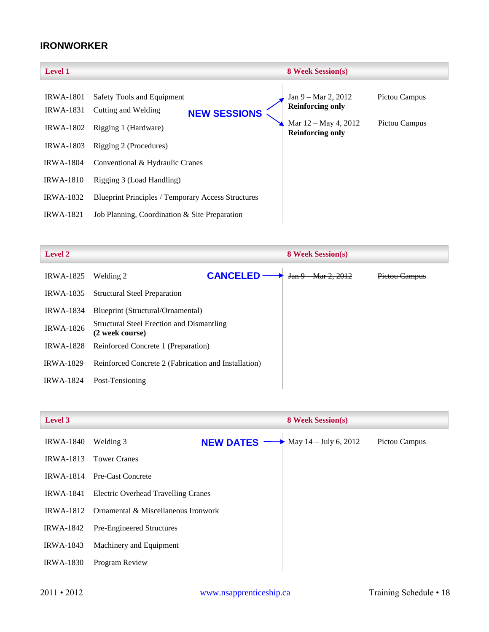## <span id="page-18-0"></span>**IRONWORKER**

| <b>IRWA-1801</b><br>Safety Tools and Equipment<br>$Jan 9 - Mar 2, 2012$<br>Pictou Campus<br><b>Reinforcing only</b><br><b>IRWA-1831</b><br>Cutting and Welding<br><b>NEW SESSIONS</b><br>Mar $12 - May 4, 2012$<br>Pictou Campus<br><b>IRWA-1802</b><br>Rigging 1 (Hardware)<br><b>Reinforcing only</b><br><b>IRWA-1803</b><br>Rigging 2 (Procedures)<br><b>IRWA-1804</b><br>Conventional & Hydraulic Cranes | <b>Level 1</b> | <b>8 Week Session(s)</b> |  |
|--------------------------------------------------------------------------------------------------------------------------------------------------------------------------------------------------------------------------------------------------------------------------------------------------------------------------------------------------------------------------------------------------------------|----------------|--------------------------|--|
| <b>IRWA-1810</b><br>Rigging 3 (Load Handling)<br><b>IRWA-1832</b><br><b>Blueprint Principles / Temporary Access Structures</b><br><b>IRWA-1821</b><br>Job Planning, Coordination & Site Preparation                                                                                                                                                                                                          |                |                          |  |

| <b>Level 2</b>   |                                                              |                 | <b>8 Week Session(s)</b>           |               |
|------------------|--------------------------------------------------------------|-----------------|------------------------------------|---------------|
| <b>IRWA-1825</b> | Welding 2                                                    | <b>CANCELED</b> | Jan <sub>9</sub><br>$-Mar 2, 2012$ | Pictou Campus |
| <b>IRWA-1835</b> | <b>Structural Steel Preparation</b>                          |                 |                                    |               |
| <b>IRWA-1834</b> | Blueprint (Structural/Ornamental)                            |                 |                                    |               |
| <b>IRWA-1826</b> | Structural Steel Erection and Dismantling<br>(2 week course) |                 |                                    |               |
| <b>IRWA-1828</b> | Reinforced Concrete 1 (Preparation)                          |                 |                                    |               |
| <b>IRWA-1829</b> | Reinforced Concrete 2 (Fabrication and Installation)         |                 |                                    |               |
| <b>IRWA-1824</b> | Post-Tensioning                                              |                 |                                    |               |
|                  |                                                              |                 |                                    |               |

| Level 3          |                                            |                  | <b>8 Week Session(s)</b>          |               |
|------------------|--------------------------------------------|------------------|-----------------------------------|---------------|
| <b>IRWA-1840</b> | Welding 3                                  | <b>NEW DATES</b> | • May $14 - \text{July } 6, 2012$ | Pictou Campus |
| <b>IRWA-1813</b> | <b>Tower Cranes</b>                        |                  |                                   |               |
| <b>IRWA-1814</b> | Pre-Cast Concrete                          |                  |                                   |               |
| <b>IRWA-1841</b> | <b>Electric Overhead Travelling Cranes</b> |                  |                                   |               |
| <b>IRWA-1812</b> | Ornamental & Miscellaneous Ironwork        |                  |                                   |               |
| <b>IRWA-1842</b> | Pre-Engineered Structures                  |                  |                                   |               |
| <b>IRWA-1843</b> | Machinery and Equipment                    |                  |                                   |               |
| <b>IRWA-1830</b> | Program Review                             |                  |                                   |               |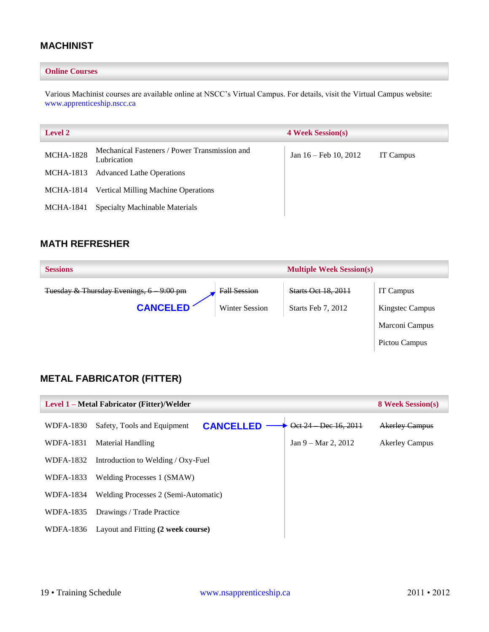## <span id="page-19-0"></span>**MACHINIST**

#### **Online Courses**

Various Machinist courses are available online at NSCC's Virtual Campus. For details, visit the Virtual Campus website: [www.apprenticeship.nscc.ca](http://www.apprenticeship.nscc.ca/)

| <b>Level 2</b>   |                                                              | <b>4 Week Session(s)</b>        |           |  |
|------------------|--------------------------------------------------------------|---------------------------------|-----------|--|
| <b>MCHA-1828</b> | Mechanical Fasteners / Power Transmission and<br>Lubrication | Jan $16 - \text{Feb } 10, 2012$ | IT Campus |  |
|                  | MCHA-1813 Advanced Lathe Operations                          |                                 |           |  |
|                  | MCHA-1814 Vertical Milling Machine Operations                |                                 |           |  |
| MCHA-1841        | <b>Specialty Machinable Materials</b>                        |                                 |           |  |

## <span id="page-19-1"></span>**MATH REFRESHER**

| <b>Sessions</b>                                      | <b>Multiple Week Session(s)</b> |                            |                  |
|------------------------------------------------------|---------------------------------|----------------------------|------------------|
| Tuesday & Thursday Evenings, 6<br><del>9:00 pm</del> | <b>Fall Session</b>             | <b>Starts Oct 18, 2011</b> | <b>IT Campus</b> |
| <b>CANCELED</b>                                      | <b>Winter Session</b>           | Starts Feb 7, 2012         | Kingstec Campus  |
|                                                      | Marconi Campus                  |                            |                  |
|                                                      |                                 |                            | Pictou Campus    |

## <span id="page-19-2"></span>**METAL FABRICATOR (FITTER)**

<span id="page-19-3"></span>

| Level 1 – Metal Fabricator (Fitter)/Welder | <b>8 Week Session(s)</b>                        |                                |                       |
|--------------------------------------------|-------------------------------------------------|--------------------------------|-----------------------|
| WDFA-1830                                  | <b>CANCELLED</b><br>Safety, Tools and Equipment | Oct 24 Dec 16, 2014            | <b>Akerley Campus</b> |
| WDFA-1831                                  | Material Handling                               | Jan $9 - \text{Mar } 2$ , 2012 | <b>Akerley Campus</b> |
| WDFA-1832                                  | Introduction to Welding / Oxy-Fuel              |                                |                       |
| WDFA-1833                                  | Welding Processes 1 (SMAW)                      |                                |                       |
| WDFA-1834                                  | Welding Processes 2 (Semi-Automatic)            |                                |                       |
| WDFA-1835                                  | Drawings / Trade Practice                       |                                |                       |
| WDFA-1836                                  | Layout and Fitting (2 week course)              |                                |                       |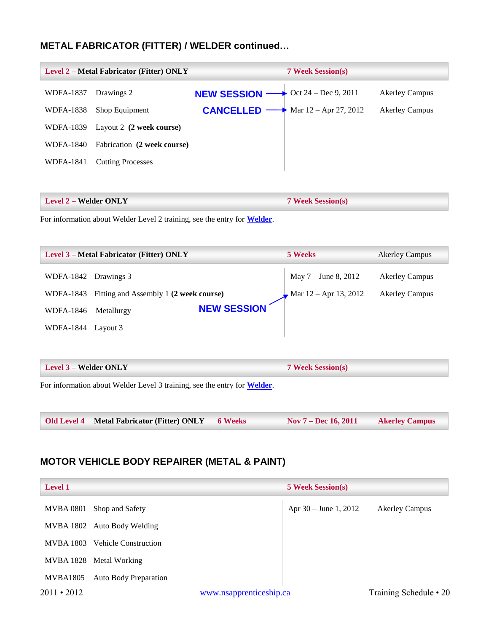## **METAL FABRICATOR (FITTER) / WELDER continued…**

|                  | <b>Level 2 – Metal Fabricator (Fitter) ONLY</b> |                                                           | <b>7 Week Session(s)</b> |                       |
|------------------|-------------------------------------------------|-----------------------------------------------------------|--------------------------|-----------------------|
| <b>WDFA-1837</b> | Drawings 2                                      | <b>NEW SESSION</b> $\longrightarrow$ Oct 24 – Dec 9, 2011 |                          | <b>Akerley Campus</b> |
| <b>WDFA-1838</b> | Shop Equipment                                  | <b>CANCELLED</b>                                          | Mar 12 Apr 27, 2012      | <b>Akerley Campus</b> |
| WDFA-1839        | Layout 2 (2 week course)                        |                                                           |                          |                       |
| WDFA-1840        | Fabrication (2 week course)                     |                                                           |                          |                       |
| WDFA-1841        | <b>Cutting Processes</b>                        |                                                           |                          |                       |
|                  |                                                 |                                                           |                          |                       |

| <b>Level 2 – Welder ONLY</b> | <b>7 Week Session(s)</b> |
|------------------------------|--------------------------|
|                              |                          |

For information about Welder Level 2 training, see the entry for **[Welder](#page-31-0)**.

| <b>Level 3 – Metal Fabricator (Fitter) ONLY</b> |                                        | 5 Weeks            | <b>Akerley Campus</b>   |                       |
|-------------------------------------------------|----------------------------------------|--------------------|-------------------------|-----------------------|
| WDFA-1842 Drawings 3                            |                                        |                    | May 7 – June 8, 2012    | <b>Akerley Campus</b> |
| WDFA-1843                                       | Fitting and Assembly 1 (2 week course) |                    | Mar $12 -$ Apr 13, 2012 | <b>Akerley Campus</b> |
| WDFA-1846                                       | Metallurgy                             | <b>NEW SESSION</b> |                         |                       |
| <b>WDFA-1844</b>                                | Layout 3                               |                    |                         |                       |

| <b>Level 3 – Welder ONLY</b>                                             | <b>7 Week Session(s)</b> |                        |                       |
|--------------------------------------------------------------------------|--------------------------|------------------------|-----------------------|
| For information about Welder Level 3 training, see the entry for Welder. |                          |                        |                       |
| <b>Old Level 4 Metal Fabricator (Fitter) ONLY</b>                        | <b>6 Weeks</b>           | Nov $7 - Dec 16, 2011$ | <b>Akerley Campus</b> |

## <span id="page-20-0"></span>**MOTOR VEHICLE BODY REPAIRER (METAL & PAINT)**

| <b>Level 1</b>    |                              |                         | <b>5 Week Session(s)</b> |                        |
|-------------------|------------------------------|-------------------------|--------------------------|------------------------|
| MVBA 0801         | Shop and Safety              |                         | Apr $30 -$ June 1, 2012  | <b>Akerley Campus</b>  |
|                   | MVBA 1802 Auto Body Welding  |                         |                          |                        |
| <b>MVBA</b> 1803  | <b>Vehicle Construction</b>  |                         |                          |                        |
|                   | MVBA 1828 Metal Working      |                         |                          |                        |
| MVBA1805          | <b>Auto Body Preparation</b> |                         |                          |                        |
| $2011 \cdot 2012$ |                              | www.nsapprenticeship.ca |                          | Training Schedule • 20 |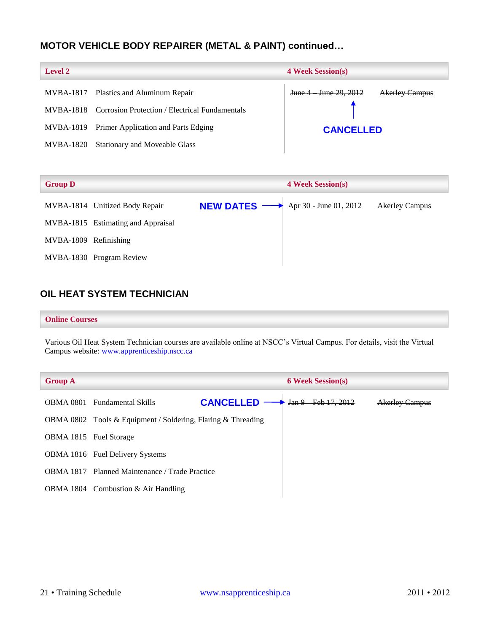## **MOTOR VEHICLE BODY REPAIRER (METAL & PAINT) continued…**

| <b>Level 2</b> |                                                          | <b>4 Week Session(s)</b>                      |  |  |
|----------------|----------------------------------------------------------|-----------------------------------------------|--|--|
|                | MVBA-1817 Plastics and Aluminum Repair                   | June 4 June 29, 2012<br><b>Akerley Campus</b> |  |  |
|                | MVBA-1818 Corrosion Protection / Electrical Fundamentals |                                               |  |  |
|                | MVBA-1819 Primer Application and Parts Edging            | <b>CANCELLED</b>                              |  |  |
| MVBA-1820      | <b>Stationary and Moveable Glass</b>                     |                                               |  |  |

| <b>Group D</b>        |                                    |                                                           | <b>4 Week Session(s)</b> |                       |  |
|-----------------------|------------------------------------|-----------------------------------------------------------|--------------------------|-----------------------|--|
|                       | MVBA-1814 Unitized Body Repair     | <b>NEW DATES</b> $\longrightarrow$ Apr 30 - June 01, 2012 |                          | <b>Akerley Campus</b> |  |
|                       | MVBA-1815 Estimating and Appraisal |                                                           |                          |                       |  |
| MVBA-1809 Refinishing |                                    |                                                           |                          |                       |  |
|                       | MVBA-1830 Program Review           |                                                           |                          |                       |  |

## <span id="page-21-0"></span>**OIL HEAT SYSTEM TECHNICIAN**

#### **Online Courses**

Various Oil Heat System Technician courses are available online at NSCC's Virtual Campus. For details, visit the Virtual Campus website: [www.apprenticeship.nscc.ca](http://www.apprenticeship.nscc.ca/)

| <b>Group A</b>         |                                                              |                  | <b>6 Week Session(s)</b> |                       |
|------------------------|--------------------------------------------------------------|------------------|--------------------------|-----------------------|
|                        | <b>OBMA 0801</b> Fundamental Skills                          | <b>CANCELLED</b> | Jan 9 Feb 17, 2012       | <b>Akerley Campus</b> |
|                        | OBMA 0802 Tools & Equipment / Soldering, Flaring & Threading |                  |                          |                       |
| OBMA 1815 Fuel Storage |                                                              |                  |                          |                       |
|                        | <b>OBMA 1816</b> Fuel Delivery Systems                       |                  |                          |                       |
|                        | <b>OBMA 1817</b> Planned Maintenance / Trade Practice        |                  |                          |                       |
|                        | OBMA 1804 Combustion $& Air$ Handling                        |                  |                          |                       |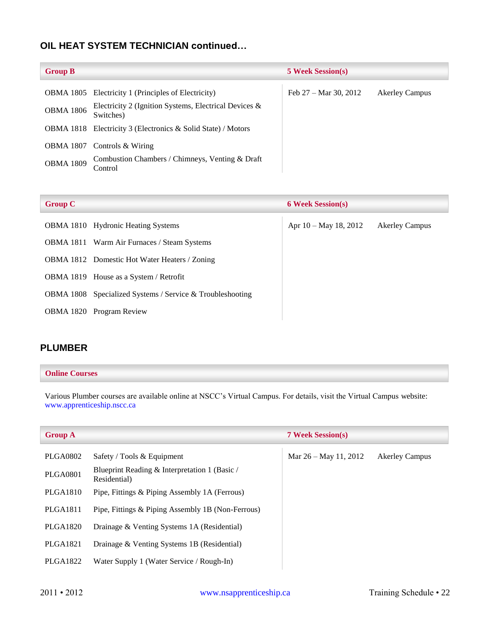## **OIL HEAT SYSTEM TECHNICIAN continued…**

| <b>Group B</b>   |                                                                       | <b>5 Week Session(s)</b>        |                       |
|------------------|-----------------------------------------------------------------------|---------------------------------|-----------------------|
|                  | <b>OBMA 1805</b> Electricity 1 (Principles of Electricity)            | Feb $27 - \text{Mar } 30, 2012$ | <b>Akerley Campus</b> |
| <b>OBMA 1806</b> | Electricity 2 (Ignition Systems, Electrical Devices $\&$<br>Switches) |                                 |                       |
|                  | OBMA 1818 Electricity 3 (Electronics & Solid State) / Motors          |                                 |                       |
|                  | OBMA 1807 Controls & Wiring                                           |                                 |                       |
| <b>OBMA 1809</b> | Combustion Chambers / Chimneys, Venting & Draft<br>Control            |                                 |                       |

| <b>Group C</b> |                                                           | <b>6 Week Session(s)</b> |                       |
|----------------|-----------------------------------------------------------|--------------------------|-----------------------|
|                | <b>OBMA 1810</b> Hydronic Heating Systems                 | Apr 10 – May 18, 2012    | <b>Akerley Campus</b> |
|                | <b>OBMA 1811</b> Warm Air Furnaces / Steam Systems        |                          |                       |
|                | <b>OBMA 1812</b> Domestic Hot Water Heaters / Zoning      |                          |                       |
|                | OBMA 1819 House as a System / Retrofit                    |                          |                       |
|                | OBMA 1808 Specialized Systems / Service & Troubleshooting |                          |                       |
|                | <b>OBMA 1820</b> Program Review                           |                          |                       |
|                |                                                           |                          |                       |

## <span id="page-22-0"></span>**PLUMBER**

#### **Online Courses**

Various Plumber courses are available online at NSCC's Virtual Campus. For details, visit the Virtual Campus website: [www.apprenticeship.nscc.ca](http://www.apprenticeship.nscc.ca/)

| <b>Group A</b>  |                                                               | <b>7 Week Session(s)</b> |                       |
|-----------------|---------------------------------------------------------------|--------------------------|-----------------------|
| PLGA0802        | Safety / Tools $&$ Equipment                                  | Mar $26 -$ May 11, 2012  | <b>Akerley Campus</b> |
| <b>PLGA0801</b> | Blueprint Reading & Interpretation 1 (Basic /<br>Residential) |                          |                       |
| PLGA1810        | Pipe, Fittings & Piping Assembly 1A (Ferrous)                 |                          |                       |
| PLGA1811        | Pipe, Fittings & Piping Assembly 1B (Non-Ferrous)             |                          |                       |
| <b>PLGA1820</b> | Drainage & Venting Systems 1A (Residential)                   |                          |                       |
| <b>PLGA1821</b> | Drainage & Venting Systems 1B (Residential)                   |                          |                       |
| <b>PLGA1822</b> | Water Supply 1 (Water Service / Rough-In)                     |                          |                       |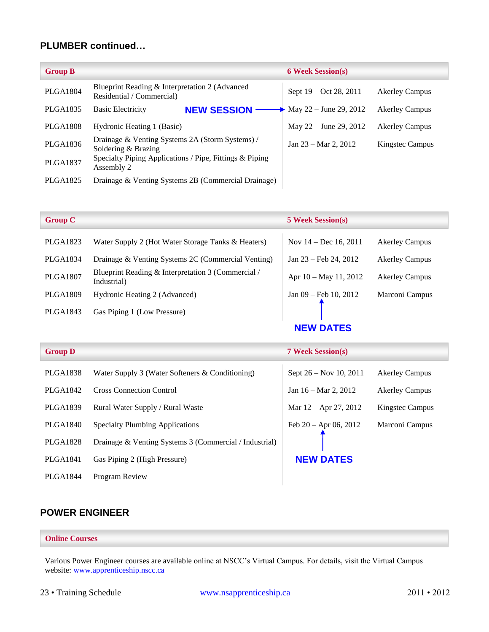### **PLUMBER continued…**

| <b>Group B</b>  |                                                                             | <b>6 Week Session(s)</b>        |                       |
|-----------------|-----------------------------------------------------------------------------|---------------------------------|-----------------------|
| <b>PLGA1804</b> | Blueprint Reading & Interpretation 2 (Advanced<br>Residential / Commercial) | Sept 19 – Oct 28, 2011          | <b>Akerley Campus</b> |
| PLGA1835        | <b>Basic Electricity</b><br><b>NEW SESSION</b>                              | • May 22 – June 29, 2012        | <b>Akerley Campus</b> |
| <b>PLGA1808</b> | Hydronic Heating 1 (Basic)                                                  | May $22 -$ June 29, 2012        | <b>Akerley Campus</b> |
| <b>PLGA1836</b> | Drainage & Venting Systems 2A (Storm Systems) /<br>Soldering & Brazing      | Jan $23 - \text{Mar } 2$ , 2012 | Kingstec Campus       |
| <b>PLGA1837</b> | Specialty Piping Applications / Pipe, Fittings & Piping<br>Assembly 2       |                                 |                       |
| PLGA1825        | Drainage & Venting Systems 2B (Commercial Drainage)                         |                                 |                       |

| <b>Group C</b>  |                                                                   | <b>5 Week Session(s)</b> |                       |
|-----------------|-------------------------------------------------------------------|--------------------------|-----------------------|
| PLGA1823        | Water Supply 2 (Hot Water Storage Tanks & Heaters)                | Nov $14 - Dec 16, 2011$  | <b>Akerley Campus</b> |
| PLGA1834        | Drainage & Venting Systems 2C (Commercial Venting)                | Jan 23 – Feb 24, 2012    | <b>Akerley Campus</b> |
| <b>PLGA1807</b> | Blueprint Reading & Interpretation 3 (Commercial /<br>Industrial) | Apr 10 – May 11, 2012    | <b>Akerley Campus</b> |
| <b>PLGA1809</b> | Hydronic Heating 2 (Advanced)                                     | Jan $09$ – Feb 10, 2012  | Marconi Campus        |
| PLGA1843        | Gas Piping 1 (Low Pressure)                                       |                          |                       |
|                 |                                                                   | <b>NEW DATES</b>         |                       |

| Group D |  |
|---------|--|
|---------|--|

**Group D 7 Week Session(s)**

**NEW DATES**

| PLGA1839 Rural Water Supply / Rural Waste | $\vert$ Mar 12 – Apr 27, 2012 Kingstec Campus |  |
|-------------------------------------------|-----------------------------------------------|--|
|                                           |                                               |  |

PLGA1840 Specialty Plumbing Applications

PLGA1842 Cross Connection Control

PLGA1828 Drainage & Venting Systems 3 (Commercial / Industrial)

PLGA1838 Water Supply 3 (Water Softeners & Conditioning)

- PLGA1841 Gas Piping 2 (High Pressure)
- PLGA1844 Program Review

| Sept 26 – Nov 10, 2011 | <b>Akerley Campus</b> |
|------------------------|-----------------------|
| Jan 16 – Mar 2, 2012   | <b>Akerley Campus</b> |
| Mar 12 – Apr 27, 2012  | Kingstec Campus       |
| Feb 20 - Apr 06, 2012  | Marconi Campus        |

## <span id="page-23-0"></span>**POWER ENGINEER**

#### **Online Courses**

Various Power Engineer courses are available online at NSCC's Virtual Campus. For details, visit the Virtual Campus website: [www.apprenticeship.nscc.ca](http://www.apprenticeship.nscc.ca/)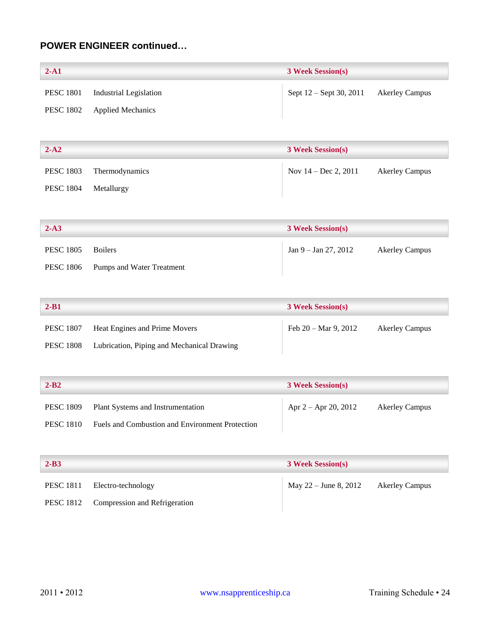## **POWER ENGINEER continued…**

| $2-A1$           |                               | <b>3 Week Session(s)</b> |                       |
|------------------|-------------------------------|--------------------------|-----------------------|
| <b>PESC 1801</b> | <b>Industrial Legislation</b> | Sept 12 – Sept 30, 2011  | <b>Akerley Campus</b> |
| <b>PESC 1802</b> | <b>Applied Mechanics</b>      |                          |                       |
|                  |                               |                          |                       |
| $2 - A2$         |                               | <b>3 Week Session(s)</b> |                       |
| <b>PESC 1803</b> | Thermodynamics                | Nov $14 - Dec 2, 2011$   | <b>Akerley Campus</b> |
| <b>PESC 1804</b> | Metallurgy                    |                          |                       |
|                  |                               |                          |                       |
| $2-A3$           |                               | <b>3 Week Session(s)</b> |                       |
| <b>PESC 1805</b> | <b>Boilers</b>                | Jan $9 -$ Jan $27, 2012$ | <b>Akerley Campus</b> |
| <b>PESC 1806</b> | Pumps and Water Treatment     |                          |                       |
|                  |                               |                          |                       |
|                  |                               |                          |                       |

| $2 - B1$         |                                            | <b>3 Week Session(s)</b>       |                |
|------------------|--------------------------------------------|--------------------------------|----------------|
| <b>PESC 1807</b> | Heat Engines and Prime Movers              | Feb $20 - \text{Mar } 9, 2012$ | Akerley Campus |
| <b>PESC 1808</b> | Lubrication, Piping and Mechanical Drawing |                                |                |

| $2 - B2$         |                                                 | <b>3 Week Session(s)</b> |                       |
|------------------|-------------------------------------------------|--------------------------|-----------------------|
|                  | PESC 1809 Plant Systems and Instrumentation     | Apr $2 -$ Apr 20, 2012   | <b>Akerley Campus</b> |
| <b>PESC 1810</b> | Fuels and Combustion and Environment Protection |                          |                       |

| $2 - B3$ |                                         | <b>3 Week Session(s)</b>               |  |
|----------|-----------------------------------------|----------------------------------------|--|
|          | PESC 1811 Electro-technology            | May $22 -$ June 8, 2012 Akerley Campus |  |
|          | PESC 1812 Compression and Refrigeration |                                        |  |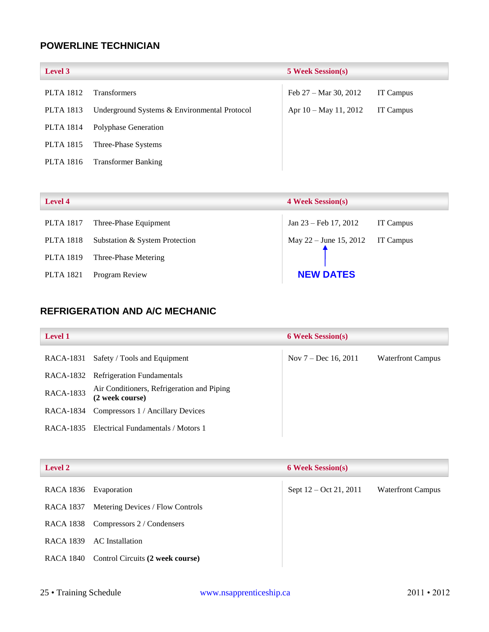## <span id="page-25-0"></span>**POWERLINE TECHNICIAN**

| <b>Level 3</b>   |                                              | <b>5 Week Session(s)</b> |           |
|------------------|----------------------------------------------|--------------------------|-----------|
| <b>PLTA 1812</b> | <b>Transformers</b>                          | Feb 27 – Mar 30, 2012    | IT Campus |
| <b>PLTA 1813</b> | Underground Systems & Environmental Protocol | Apr 10 – May 11, 2012    | IT Campus |
| PLTA 1814        | Polyphase Generation                         |                          |           |
| <b>PLTA 1815</b> | Three-Phase Systems                          |                          |           |
| <b>PLTA 1816</b> | <b>Transformer Banking</b>                   |                          |           |

| <b>Level 4</b>   |                                | <b>4 Week Session(s)</b>         |           |
|------------------|--------------------------------|----------------------------------|-----------|
| <b>PLTA 1817</b> | Three-Phase Equipment          | Jan 23 – Feb 17, 2012            | IT Campus |
| <b>PLTA 1818</b> | Substation & System Protection | May 22 – June 15, 2012 IT Campus |           |
| <b>PLTA 1819</b> | Three-Phase Metering           |                                  |           |
| <b>PLTA 1821</b> | Program Review                 | <b>NEW DATES</b>                 |           |

## <span id="page-25-1"></span>**REFRIGERATION AND A/C MECHANIC**

| <b>Level 1</b>   |                                                               | <b>6 Week Session(s)</b> |                          |
|------------------|---------------------------------------------------------------|--------------------------|--------------------------|
| RACA-1831        | Safety / Tools and Equipment                                  | Nov $7 - Dec 16, 2011$   | <b>Waterfront Campus</b> |
|                  | RACA-1832 Refrigeration Fundamentals                          |                          |                          |
| <b>RACA-1833</b> | Air Conditioners, Refrigeration and Piping<br>(2 week course) |                          |                          |
| RACA-1834        | Compressors 1 / Ancillary Devices                             |                          |                          |
| RACA-1835        | Electrical Fundamentals / Motors 1                            |                          |                          |

| <b>Level 2</b> |                                            | <b>6 Week Session(s)</b> |                          |
|----------------|--------------------------------------------|--------------------------|--------------------------|
| RACA 1836      | Evaporation                                | Sept 12 – Oct 21, 2011   | <b>Waterfront Campus</b> |
| RACA 1837      | Metering Devices / Flow Controls           |                          |                          |
| RACA 1838      | Compressors 2 / Condensers                 |                          |                          |
| RACA 1839      | AC Installation                            |                          |                          |
|                | RACA 1840 Control Circuits (2 week course) |                          |                          |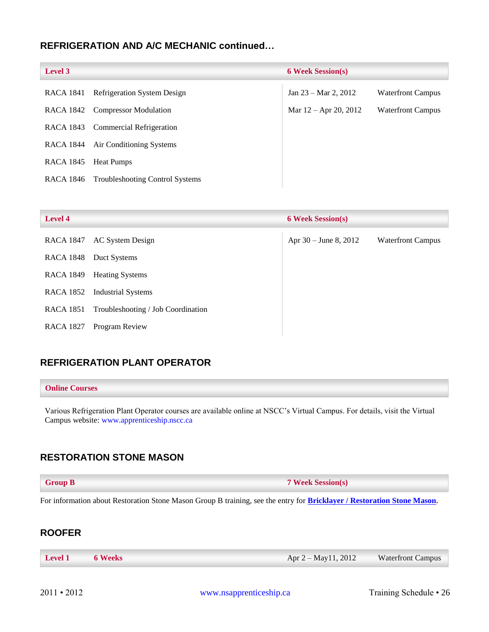## **REFRIGERATION AND A/C MECHANIC continued…**

| <b>Level 3</b>   |                                        | <b>6 Week Session(s)</b>        |                          |
|------------------|----------------------------------------|---------------------------------|--------------------------|
| RACA 1841        | <b>Refrigeration System Design</b>     | Jan $23 - \text{Mar } 2$ , 2012 | <b>Waterfront Campus</b> |
|                  | RACA 1842 Compressor Modulation        | Mar $12 -$ Apr 20, 2012         | <b>Waterfront Campus</b> |
| RACA 1843        | Commercial Refrigeration               |                                 |                          |
| RACA 1844        | Air Conditioning Systems               |                                 |                          |
| <b>RACA 1845</b> | <b>Heat Pumps</b>                      |                                 |                          |
| RACA 1846        | <b>Troubleshooting Control Systems</b> |                                 |                          |

| <b>Level 4</b>   |                                    | <b>6 Week Session(s)</b> |                          |
|------------------|------------------------------------|--------------------------|--------------------------|
| <b>RACA 1847</b> | AC System Design                   | Apr $30 -$ June 8, 2012  | <b>Waterfront Campus</b> |
| <b>RACA 1848</b> | Duct Systems                       |                          |                          |
| RACA 1849        | <b>Heating Systems</b>             |                          |                          |
| RACA 1852        | <b>Industrial Systems</b>          |                          |                          |
| <b>RACA 1851</b> | Troubleshooting / Job Coordination |                          |                          |
| <b>RACA 1827</b> | Program Review                     |                          |                          |

## <span id="page-26-0"></span>**REFRIGERATION PLANT OPERATOR**

#### **Online Courses**

Various Refrigeration Plant Operator courses are available online at NSCC's Virtual Campus. For details, visit the Virtual Campus website: [www.apprenticeship.nscc.ca](http://www.apprenticeship.nscc.ca/)

## <span id="page-26-1"></span>**RESTORATION STONE MASON**

| <b>Group B</b> | <b>7 Week Session(s)</b> |
|----------------|--------------------------|
|----------------|--------------------------|

For information about Restoration Stone Mason Group B training, see the entry for **[Bricklayer / Restoration Stone Mason.](#page-10-0)**

## <span id="page-26-2"></span>**ROOFER**

| Level 1 6 Weeks | Apr $2 - May11$ , 2012 | <b>Waterfront Campus</b> |
|-----------------|------------------------|--------------------------|
|-----------------|------------------------|--------------------------|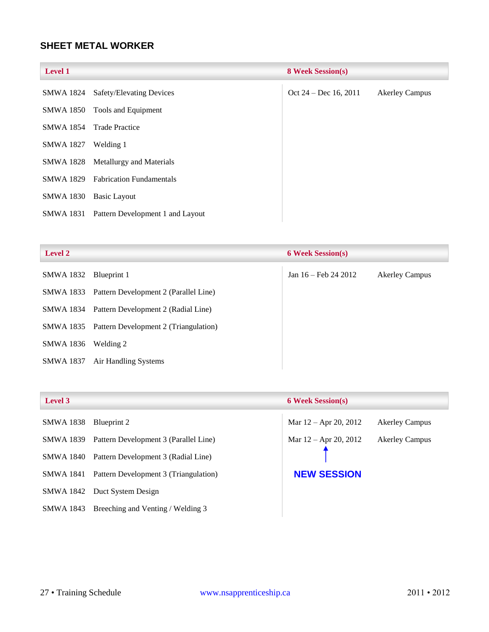## <span id="page-27-0"></span>**SHEET METAL WORKER**

| <b>Level 1</b>   |                                    | <b>8 Week Session(s)</b> |                       |
|------------------|------------------------------------|--------------------------|-----------------------|
|                  | SMWA 1824 Safety/Elevating Devices | Oct $24 - Dec 16, 2011$  | <b>Akerley Campus</b> |
| <b>SMWA 1850</b> | Tools and Equipment                |                          |                       |
| <b>SMWA 1854</b> | <b>Trade Practice</b>              |                          |                       |
| <b>SMWA 1827</b> | Welding 1                          |                          |                       |
|                  | SMWA 1828 Metallurgy and Materials |                          |                       |
| SMWA 1829        | <b>Fabrication Fundamentals</b>    |                          |                       |
| <b>SMWA 1830</b> | Basic Layout                       |                          |                       |
| SMWA 1831        | Pattern Development 1 and Layout   |                          |                       |

| <b>Level 2</b>   |                                                 | <b>6 Week Session(s)</b> |                       |
|------------------|-------------------------------------------------|--------------------------|-----------------------|
| SMWA 1832        | Blueprint 1                                     | Jan 16 – Feb 24 2012     | <b>Akerley Campus</b> |
|                  | SMWA 1833 Pattern Development 2 (Parallel Line) |                          |                       |
|                  | SMWA 1834 Pattern Development 2 (Radial Line)   |                          |                       |
| SMWA 1835        | Pattern Development 2 (Triangulation)           |                          |                       |
| SMWA 1836        | Welding 2                                       |                          |                       |
| <b>SMWA 1837</b> | Air Handling Systems                            |                          |                       |
|                  |                                                 |                          |                       |

| ev.<br>e |
|----------|
|----------|

| SMWA 1838 Blueprint 2 |                                             |
|-----------------------|---------------------------------------------|
| SMWA 1839             | Pattern Development 3 (Parallel Line)       |
| SMWA 1840             | Pattern Development 3 (Radial Line)         |
| SMWA 1841             | Pattern Development 3 (Triangulation)       |
|                       | SMWA 1842 Duct System Design                |
|                       | SMWA 1843 Breeching and Venting / Welding 3 |

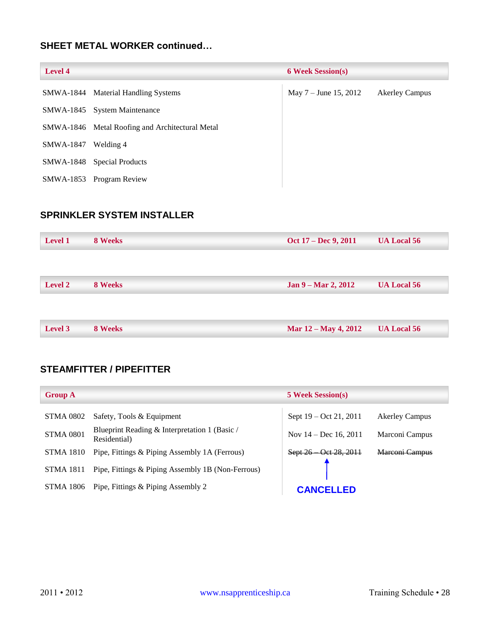## **SHEET METAL WORKER continued…**

| Level 4   |                                                 | <b>6 Week Session(s)</b> |                       |
|-----------|-------------------------------------------------|--------------------------|-----------------------|
|           | SMWA-1844 Material Handling Systems             | May $7 -$ June 15, 2012  | <b>Akerley Campus</b> |
|           | SMWA-1845 System Maintenance                    |                          |                       |
|           | SMWA-1846 Metal Roofing and Architectural Metal |                          |                       |
| SMWA-1847 | Welding 4                                       |                          |                       |
| SMWA-1848 | <b>Special Products</b>                         |                          |                       |
| SMWA-1853 | Program Review                                  |                          |                       |

## <span id="page-28-0"></span>**SPRINKLER SYSTEM INSTALLER**

| <b>Level 1</b> | 8 Weeks | Oct 17 – Dec 9, 2011 | <b>UA Local 56</b> |
|----------------|---------|----------------------|--------------------|
|                |         |                      |                    |
| <b>Level 2</b> | 8 Weeks | Jan 9 – Mar 2, 2012  | <b>UA Local 56</b> |
|                |         |                      |                    |
|                |         |                      |                    |
| Level 3        | 8 Weeks | Mar 12 – May 4, 2012 | <b>UA Local 56</b> |

## <span id="page-28-1"></span>**STEAMFITTER / PIPEFITTER**

| <b>Group A</b>   |                                                               | <b>5 Week Session(s)</b> |                       |
|------------------|---------------------------------------------------------------|--------------------------|-----------------------|
| STMA 0802        | Safety, Tools & Equipment                                     | Sept 19 – Oct 21, 2011   | <b>Akerley Campus</b> |
| <b>STMA 0801</b> | Blueprint Reading & Interpretation 1 (Basic /<br>Residential) | Nov $14 - Dec 16, 2011$  | Marconi Campus        |
| <b>STMA 1810</b> | Pipe, Fittings & Piping Assembly 1A (Ferrous)                 | Sept 26 Oct 28, 2011     | Marconi Campus        |
| <b>STMA 1811</b> | Pipe, Fittings & Piping Assembly 1B (Non-Ferrous)             |                          |                       |
| STMA 1806        | Pipe, Fittings & Piping Assembly 2                            | <b>CANCELLED</b>         |                       |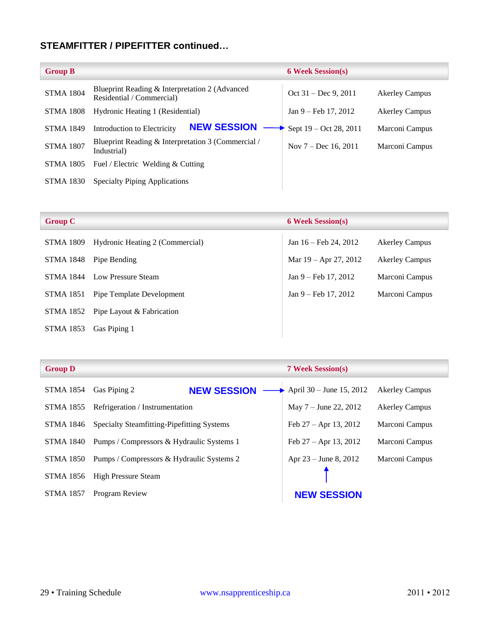## **STEAMFITTER / PIPEFITTER continued…**

| <b>Group B</b>   |                                                                             | <b>6 Week Session(s)</b>      |                       |
|------------------|-----------------------------------------------------------------------------|-------------------------------|-----------------------|
| <b>STMA 1804</b> | Blueprint Reading & Interpretation 2 (Advanced<br>Residential / Commercial) | Oct $31 - Dec 9, 2011$        | <b>Akerley Campus</b> |
| <b>STMA 1808</b> | Hydronic Heating 1 (Residential)                                            | Jan $9 - \text{Feb} 17, 2012$ | <b>Akerley Campus</b> |
| <b>STMA 1849</b> | <b>NEW SESSION</b><br>Introduction to Electricity                           | Sept $19 - Oct 28, 2011$      | Marconi Campus        |
| <b>STMA 1807</b> | Blueprint Reading & Interpretation 3 (Commercial /<br>Industrial)           | Nov $7 - Dec 16, 2011$        | Marconi Campus        |
| <b>STMA 1805</b> | Fuel / Electric Welding & Cutting                                           |                               |                       |
| <b>STMA 1830</b> | <b>Specialty Piping Applications</b>                                        |                               |                       |

| <b>Group C</b>   |                                 | <b>6 Week Session(s)</b>         |                       |
|------------------|---------------------------------|----------------------------------|-----------------------|
| STMA 1809        | Hydronic Heating 2 (Commercial) | Jan $16 - \text{Feb } 24$ , 2012 | <b>Akerley Campus</b> |
| STMA 1848        | Pipe Bending                    | Mar $19 -$ Apr $27, 2012$        | <b>Akerley Campus</b> |
| <b>STMA 1844</b> | Low Pressure Steam              | $Jan 9 - Feb 17, 2012$           | Marconi Campus        |
| <b>STMA 1851</b> | Pipe Template Development       | $Jan 9 - Feb 17, 2012$           | Marconi Campus        |
| STMA 1852        | Pipe Layout & Fabrication       |                                  |                       |
| <b>STMA 1853</b> | Gas Piping 1                    |                                  |                       |

| <b>Group D</b> |                                           |                                                      |  |
|----------------|-------------------------------------------|------------------------------------------------------|--|
|                | STMA 1854 Gas Piping 2                    | NEW SESSION --                                       |  |
|                | STMA 1855 Refrigeration / Instrumentation |                                                      |  |
|                |                                           | STMA 1846 Specialty Steamfitting-Pipefitting Systems |  |
|                |                                           |                                                      |  |

STMA 1856 High Pressure Steam

STMA 1857 Program Review

April 30 – June 15, 2012 Akerley Campus May 7 – June 22, 2012 Akerley Campus Feb 27 – Apr 13, 2012 Marconi Campus STMA 1840 Pumps / Compressors & Hydraulic Systems 1 Feb 27 – Apr 13, 2012 Marconi Campus STMA 1850 Pumps / Compressors & Hydraulic Systems 2 Apr 23 – June 8, 2012 Marconi Campus

**NEW SESSION**

**Group D 7 Week Session(s)**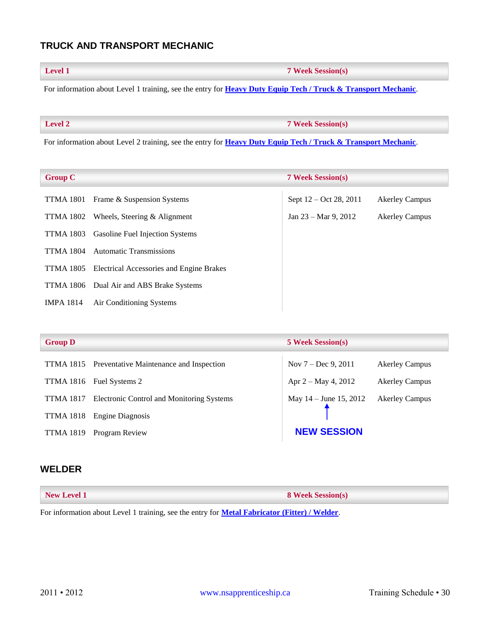## <span id="page-30-0"></span>**TRUCK AND TRANSPORT MECHANIC**

**Level 1 7 Week Session(s)**

For information about Level 1 training, see the entry for **[Heavy Duty Equip Tech / Truck &](#page-15-1) Transport Mechanic**.

**Level 2 7 Week Session(s)**

For information about Level 2 training, see the entry for **[Heavy Duty Equip Tech / Truck &](#page-15-2) Transport Mechanic**.

<span id="page-30-2"></span>

| <b>Group C</b>   |                                          | <b>7 Week Session(s)</b>       |                       |
|------------------|------------------------------------------|--------------------------------|-----------------------|
| TTMA 1801        | Frame & Suspension Systems               | Sept 12 – Oct 28, 2011         | <b>Akerley Campus</b> |
| TTMA 1802        | Wheels, Steering $&$ Alignment           | Jan $23 - \text{Mar } 9, 2012$ | <b>Akerley Campus</b> |
| TTMA 1803        | <b>Gasoline Fuel Injection Systems</b>   |                                |                       |
| <b>TTMA 1804</b> | <b>Automatic Transmissions</b>           |                                |                       |
| TTMA 1805        | Electrical Accessories and Engine Brakes |                                |                       |
|                  | TTMA 1806 Dual Air and ABS Brake Systems |                                |                       |
| <b>IMPA 1814</b> | Air Conditioning Systems                 |                                |                       |

<span id="page-30-3"></span>

| <b>Group D</b>   |                                                            | <b>5 Week Session(s)</b> |                       |
|------------------|------------------------------------------------------------|--------------------------|-----------------------|
|                  | TTMA 1815 Preventative Maintenance and Inspection          | Nov $7 - Dec 9, 2011$    | <b>Akerley Campus</b> |
|                  | TTMA 1816 Fuel Systems 2                                   | Apr $2 - May 4, 2012$    | <b>Akerley Campus</b> |
|                  | <b>TTMA 1817</b> Electronic Control and Monitoring Systems | May $14 -$ June 15, 2012 | <b>Akerley Campus</b> |
| <b>TTMA 1818</b> | Engine Diagnosis                                           |                          |                       |
| <b>TTMA 1819</b> | Program Review                                             | <b>NEW SESSION</b>       |                       |

#### <span id="page-30-1"></span>**WELDER**

| <b>New Level 1</b> | <b>8 Week Session(s)</b> |
|--------------------|--------------------------|
|                    |                          |

For information about Level 1 training, see the entry for **[Metal Fabricator \(Fitter\) / Welder](#page-19-3)**.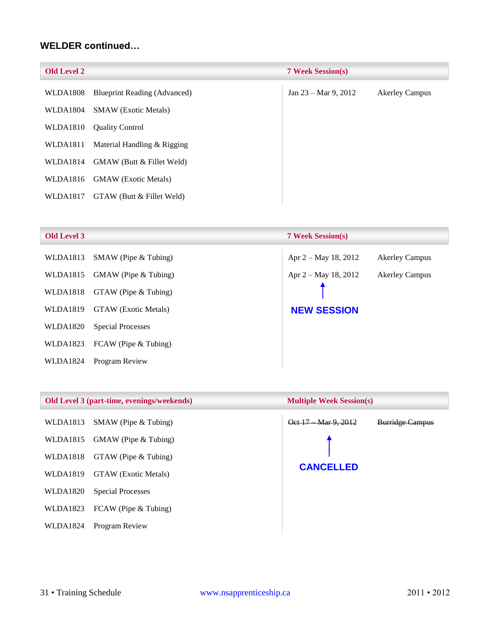### **WELDER continued…**

<span id="page-31-0"></span>

| <b>Old Level 2</b> |                                     | <b>7 Week Session(s)</b>       |                       |
|--------------------|-------------------------------------|--------------------------------|-----------------------|
| <b>WLDA1808</b>    | <b>Blueprint Reading (Advanced)</b> | Jan $23 - \text{Mar } 9, 2012$ | <b>Akerley Campus</b> |
| WLDA1804           | <b>SMAW</b> (Exotic Metals)         |                                |                       |
| WLDA1810           | <b>Quality Control</b>              |                                |                       |
| WLDA1811           | Material Handling & Rigging         |                                |                       |
| WLDA1814           | GMAW (Butt & Fillet Weld)           |                                |                       |
| WLDA1816           | <b>GMAW</b> (Exotic Metals)         |                                |                       |
| WLDA1817           | GTAW (Butt & Fillet Weld)           |                                |                       |

<span id="page-31-1"></span>

|  | Old Level 3 |  |
|--|-------------|--|
|  |             |  |

|                             | <b>7 Week Session(s)</b> |                       |
|-----------------------------|--------------------------|-----------------------|
| $SMAW$ (Pipe & Tubing)      | Apr 2 – May 18, 2012     | <b>Akerley Campus</b> |
| GMAW (Pipe & Tubing)        | Apr $2 - May 18, 2012$   | <b>Akerley Campus</b> |
| $GTAW$ (Pipe $& Tubing$ )   |                          |                       |
| <b>GTAW</b> (Exotic Metals) | <b>NEW SESSION</b>       |                       |
| Special Processes           |                          |                       |
| FCAW (Pipe & Tubing)        |                          |                       |
| Program Review              |                          |                       |
|                             |                          |                       |

#### **Old Level 3 (part-time, evenings/weekends) Multiple Week Session(s)**

- WLDA1815 GMAW (Pipe & Tubing)
- WLDA1818 GTAW (Pipe & Tubing)
- WLDA1819 GTAW (Exotic Metals)
- WLDA1820 Special Processes
- WLDA1823 FCAW (Pipe & Tubing)
- WLDA1824 Program Review

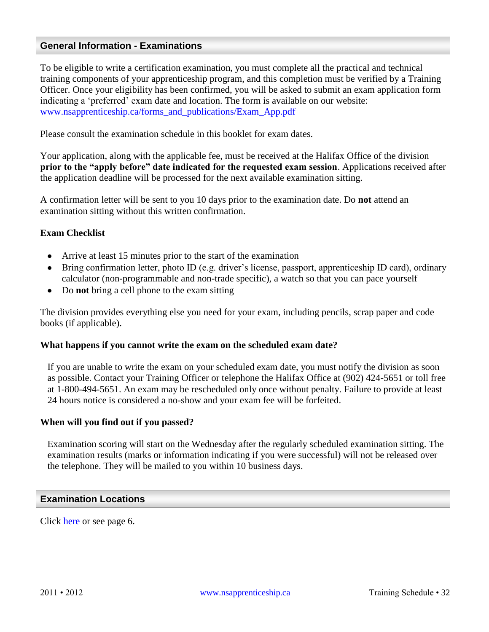### <span id="page-32-0"></span>**General Information - Examinations**

To be eligible to write a certification examination, you must complete all the practical and technical training components of your apprenticeship program, and this completion must be verified by a Training Officer. Once your eligibility has been confirmed, you will be asked to submit an exam application form indicating a 'preferred' exam date and location. The form is available on our website: [www.nsapprenticeship.ca/forms\\_and\\_publications/Exam\\_App.pdf](http://www.nsapprenticeship.ca/forms_and_publications/Exam_App.pdf)

Please consult the examination schedule in this booklet for exam dates.

Your application, along with the applicable fee, must be received at the Halifax Office of the division **prior to the "apply before" date indicated for the requested exam session**. Applications received after the application deadline will be processed for the next available examination sitting.

A confirmation letter will be sent to you 10 days prior to the examination date. Do **not** attend an examination sitting without this written confirmation.

#### **Exam Checklist**

- Arrive at least 15 minutes prior to the start of the examination
- Bring confirmation letter, photo ID (e.g. driver's license, passport, apprenticeship ID card), ordinary calculator (non-programmable and non-trade specific), a watch so that you can pace yourself
- Do **not** bring a cell phone to the exam sitting

The division provides everything else you need for your exam, including pencils, scrap paper and code books (if applicable).

#### **What happens if you cannot write the exam on the scheduled exam date?**

If you are unable to write the exam on your scheduled exam date, you must notify the division as soon as possible. Contact your Training Officer or telephone the Halifax Office at (902) 424-5651 or toll free at 1-800-494-5651. An exam may be rescheduled only once without penalty. Failure to provide at least 24 hours notice is considered a no-show and your exam fee will be forfeited.

#### **When will you find out if you passed?**

Examination scoring will start on the Wednesday after the regularly scheduled examination sitting. The examination results (marks or information indicating if you were successful) will not be released over the telephone. They will be mailed to you within 10 business days.

#### <span id="page-32-1"></span>**Examination Locations**

Click [here](#page-6-1) or see page 6.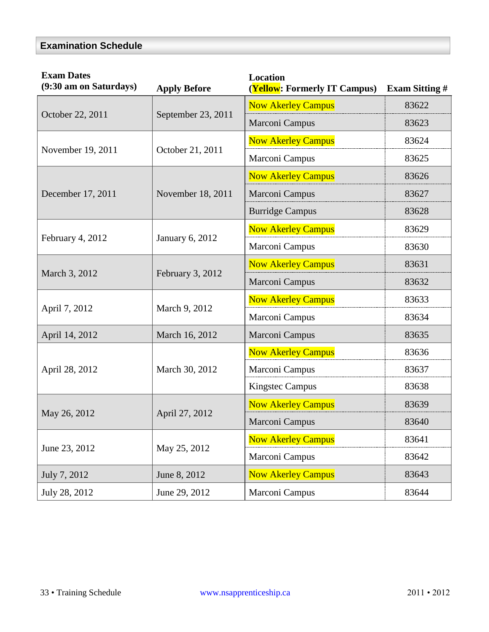## <span id="page-33-0"></span>**Examination Schedule**

| <b>Exam Dates</b><br>(9:30 am on Saturdays) | <b>Apply Before</b> | <b>Location</b><br>(Yellow: Formerly IT Campus) | <b>Exam Sitting #</b> |
|---------------------------------------------|---------------------|-------------------------------------------------|-----------------------|
| October 22, 2011                            | September 23, 2011  | <b>Now Akerley Campus</b>                       | 83622                 |
|                                             |                     | Marconi Campus                                  | 83623                 |
| November 19, 2011                           | October 21, 2011    | <b>Now Akerley Campus</b>                       | 83624                 |
|                                             |                     | Marconi Campus                                  | 83625                 |
| December 17, 2011                           | November 18, 2011   | <b>Now Akerley Campus</b>                       | 83626                 |
|                                             |                     | Marconi Campus                                  | 83627                 |
|                                             |                     | <b>Burridge Campus</b>                          | 83628                 |
| February 4, 2012                            | January 6, 2012     | <b>Now Akerley Campus</b>                       | 83629                 |
|                                             |                     | Marconi Campus                                  | 83630                 |
| March 3, 2012                               | February 3, 2012    | <b>Now Akerley Campus</b>                       | 83631                 |
|                                             |                     | Marconi Campus                                  | 83632                 |
| April 7, 2012                               | March 9, 2012       | <b>Now Akerley Campus</b>                       | 83633                 |
|                                             |                     | Marconi Campus                                  | 83634                 |
| April 14, 2012                              | March 16, 2012      | Marconi Campus                                  | 83635                 |
| April 28, 2012                              | March 30, 2012      | <b>Now Akerley Campus</b>                       | 83636                 |
|                                             |                     | Marconi Campus                                  | 83637                 |
|                                             |                     | <b>Kingstec Campus</b>                          | 83638                 |
| May 26, 2012                                | April 27, 2012      | <b>Now Akerley Campus</b>                       | 83639                 |
|                                             |                     | Marconi Campus                                  | 83640                 |
| June 23, 2012                               | May 25, 2012        | <b>Now Akerley Campus</b>                       | 83641                 |
|                                             |                     | Marconi Campus                                  | 83642                 |
| July 7, 2012                                | June 8, 2012        | <b>Now Akerley Campus</b>                       | 83643                 |
| July 28, 2012                               | June 29, 2012       | Marconi Campus                                  | 83644                 |